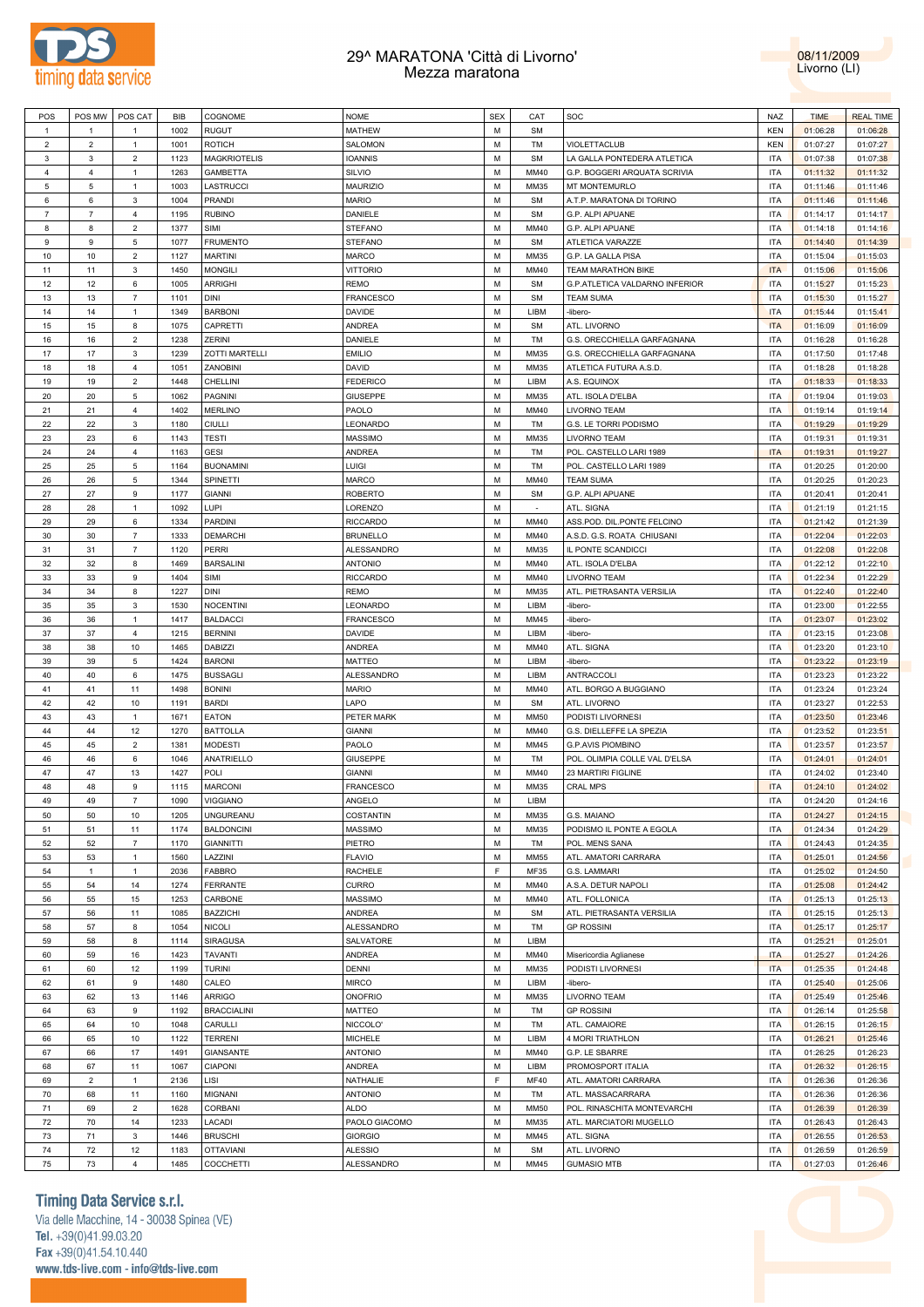



| POS            | POS MW         | POS CAT          | BIB  | COGNOME               | <b>NOME</b>      | <b>SEX</b> | CAT         | SOC                            | NAZ        | <b>TIME</b> | <b>REAL TIME</b> |
|----------------|----------------|------------------|------|-----------------------|------------------|------------|-------------|--------------------------------|------------|-------------|------------------|
| $\mathbf{1}$   | $\mathbf{1}$   | $\mathbf{1}$     | 1002 | <b>RUGUT</b>          | <b>MATHEW</b>    | M          | <b>SM</b>   |                                | <b>KEN</b> | 01:06:28    | 01:06:28         |
| $\overline{2}$ | $\overline{2}$ | $\mathbf{1}$     | 1001 | <b>ROTICH</b>         | SALOMON          | M          | TM          | VIOLETTACLUB                   | <b>KEN</b> | 01:07:27    | 01:07:27         |
| $\mathbf{3}$   | $\mathbf{3}$   | $\overline{2}$   | 1123 | <b>MAGKRIOTELIS</b>   | <b>IOANNIS</b>   | M          | <b>SM</b>   | LA GALLA PONTEDERA ATLETICA    | <b>ITA</b> | 01:07:38    | 01:07:38         |
| $\overline{4}$ | $\overline{4}$ | $\mathbf{1}$     | 1263 | <b>GAMBETTA</b>       | SILVIO           | M          | MM40        | G.P. BOGGERI ARQUATA SCRIVIA   | <b>ITA</b> | 01:11:32    | 01:11:32         |
| $\,$ 5 $\,$    | 5              | $\mathbf{1}$     | 1003 | LASTRUCCI             | MAURIZIO         | M          | MM35        | MT MONTEMURLO                  | <b>ITA</b> | 01:11:46    | 01:11:46         |
|                |                |                  |      |                       |                  |            |             |                                |            |             |                  |
| 6              | 6              | 3                | 1004 | <b>PRANDI</b>         | <b>MARIO</b>     | M          | <b>SM</b>   | A.T.P. MARATONA DI TORINO      | <b>ITA</b> | 01:11:46    | 01:11:46         |
| $\overline{7}$ | $\overline{7}$ | $\overline{4}$   | 1195 | <b>RUBINO</b>         | DANIELE          | M          | <b>SM</b>   | G.P. ALPI APUANE               | <b>ITA</b> | 01:14:17    | 01:14:17         |
| 8              | 8              | $\overline{2}$   | 1377 | SIMI                  | <b>STEFANO</b>   | M          | MM40        | G.P. ALPI APUANE               | <b>ITA</b> | 01:14:18    | 01:14:16         |
| 9              | $\mathsf g$    | 5                | 1077 | <b>FRUMENTO</b>       | <b>STEFANO</b>   | M          | <b>SM</b>   | ATLETICA VARAZZE               | <b>ITA</b> | 01:14:40    | 01:14:39         |
| 10             | 10             | $\overline{2}$   | 1127 | <b>MARTINI</b>        | <b>MARCO</b>     | M          | MM35        | G.P. LA GALLA PISA             | <b>ITA</b> | 01:15:04    | 01:15:03         |
| 11             | 11             | 3                | 1450 | <b>MONGILI</b>        | <b>VITTORIO</b>  | M          | MM40        | <b>TEAM MARATHON BIKE</b>      | <b>ITA</b> | 01:15:06    | 01:15:06         |
| 12             | 12             | $\,6\,$          | 1005 | <b>ARRIGHI</b>        | <b>REMO</b>      | M          | <b>SM</b>   | G.P.ATLETICA VALDARNO INFERIOR | <b>ITA</b> | 01:15:27    | 01:15:23         |
| 13             | 13             | $\overline{7}$   | 1101 | <b>DINI</b>           | <b>FRANCESCO</b> | M          | <b>SM</b>   | <b>TEAM SUMA</b>               | <b>ITA</b> | 01:15:30    | 01:15:27         |
|                |                |                  |      |                       |                  |            |             |                                |            |             |                  |
| 14             | 14             | $\mathbf{1}$     | 1349 | <b>BARBONI</b>        | DAVIDE           | M          | LIBM        | -libero-                       | <b>ITA</b> | 01:15:44    | 01:15:41         |
| 15             | 15             | 8                | 1075 | CAPRETTI              | ANDREA           | M          | <b>SM</b>   | ATL. LIVORNO                   | <b>ITA</b> | 01:16:09    | 01:16:09         |
| 16             | 16             | $\mathbf 2$      | 1238 | <b>ZERINI</b>         | DANIELE          | M          | TM          | G.S. ORECCHIELLA GARFAGNANA    | <b>ITA</b> | 01:16:28    | 01:16:28         |
| 17             | 17             | 3                | 1239 | <b>ZOTTI MARTELLI</b> | <b>EMILIO</b>    | M          | MM35        | G.S. ORECCHIELLA GARFAGNANA    | <b>ITA</b> | 01:17:50    | 01:17:48         |
| 18             | 18             | $\overline{4}$   | 1051 | ZANOBINI              | <b>DAVID</b>     | M          | MM35        | ATLETICA FUTURA A.S.D.         | <b>ITA</b> | 01:18:28    | 01:18:28         |
| 19             | 19             | $\overline{2}$   | 1448 | CHELLINI              | <b>FEDERICO</b>  | M          | LIBM        | A.S. EQUINOX                   | <b>ITA</b> | 01:18:33    | 01:18:33         |
| 20             | 20             | $\,$ 5 $\,$      | 1062 | PAGNINI               | <b>GIUSEPPE</b>  | M          | MM35        | ATL. ISOLA D'ELBA              | <b>ITA</b> | 01:19:04    | 01:19:03         |
| 21             | 21             | $\overline{4}$   | 1402 | <b>MERLINO</b>        | PAOLO            | M          | MM40        | <b>LIVORNO TEAM</b>            | <b>ITA</b> | 01:19:14    | 01:19:14         |
|                |                |                  |      |                       |                  |            |             |                                |            |             |                  |
| 22             | 22             | 3                | 1180 | CIULLI                | LEONARDO         | M          | TM          | G.S. LE TORRI PODISMO          | <b>ITA</b> | 01:19:29    | 01:19:29         |
| 23             | 23             | 6                | 1143 | <b>TESTI</b>          | <b>MASSIMO</b>   | M          | MM35        | <b>LIVORNO TEAM</b>            | <b>ITA</b> | 01:19:31    | 01:19:31         |
| 24             | 24             | $\overline{4}$   | 1163 | <b>GESI</b>           | <b>ANDREA</b>    | M          | TM          | POL. CASTELLO LARI 1989        | <b>ITA</b> | 01:19:31    | 01:19:27         |
| 25             | 25             | $\,$ 5 $\,$      | 1164 | <b>BUONAMINI</b>      | LUIGI            | M          | TM          | POL. CASTELLO LARI 1989        | <b>ITA</b> | 01:20:25    | 01:20:00         |
| 26             | 26             | $\,$ 5 $\,$      | 1344 | SPINETTI              | <b>MARCO</b>     | M          | MM40        | <b>TEAM SUMA</b>               | <b>ITA</b> | 01:20:25    | 01:20:23         |
| 27             | 27             | $9$              | 1177 | <b>GIANNI</b>         | <b>ROBERTO</b>   | M          | <b>SM</b>   | G.P. ALPI APUANE               | <b>ITA</b> | 01:20:41    | 01:20:41         |
| 28             | 28             | $\mathbf{1}$     | 1092 | LUPI                  | LORENZO          | M          | $\sim$      | ATL. SIGNA                     | <b>ITA</b> | 01:21:19    | 01:21:15         |
| 29             | 29             | 6                | 1334 | <b>PARDINI</b>        | <b>RICCARDO</b>  | M          | MM40        | ASS.POD. DIL.PONTE FELCINO     | <b>ITA</b> | 01:21:42    | 01:21:39         |
| 30             | 30             | $\overline{7}$   | 1333 |                       |                  | M          |             |                                | <b>ITA</b> | 01:22:04    | 01:22:03         |
|                |                |                  |      | <b>DEMARCHI</b>       | <b>BRUNELLO</b>  |            | MM40        | A.S.D. G.S. ROATA CHIUSANI     |            |             |                  |
| 31             | 31             | $\overline{7}$   | 1120 | <b>PERRI</b>          | ALESSANDRO       | M          | MM35        | IL PONTE SCANDICCI             | <b>ITA</b> | 01:22:08    | 01:22:08         |
| 32             | 32             | 8                | 1469 | <b>BARSALINI</b>      | <b>ANTONIO</b>   | M          | MM40        | ATL. ISOLA D'ELBA              | <b>ITA</b> | 01:22:12    | 01:22:10         |
| 33             | 33             | $9$              | 1404 | SIMI                  | <b>RICCARDO</b>  | M          | MM40        | <b>LIVORNO TEAM</b>            | <b>ITA</b> | 01:22:34    | 01:22:29         |
| 34             | 34             | 8                | 1227 | <b>DINI</b>           | <b>REMO</b>      | M          | MM35        | ATL. PIETRASANTA VERSILIA      | <b>ITA</b> | 01:22:40    | 01:22:40         |
| 35             | 35             | 3                | 1530 | <b>NOCENTINI</b>      | LEONARDO         | M          | LIBM        | -libero-                       | <b>ITA</b> | 01:23:00    | 01:22:55         |
| 36             | 36             | $\mathbf{1}$     | 1417 | <b>BALDACCI</b>       | <b>FRANCESCO</b> | M          | MM45        | -libero-                       | <b>ITA</b> | 01:23:07    | 01:23:02         |
| 37             | 37             | $\overline{4}$   | 1215 | <b>BERNINI</b>        | <b>DAVIDE</b>    | M          | LIBM        | -libero-                       | <b>ITA</b> | 01:23:15    | 01:23:08         |
| 38             | 38             | 10               | 1465 | <b>DABIZZI</b>        | ANDREA           | M          | MM40        | ATL. SIGNA                     | <b>ITA</b> | 01:23:20    | 01:23:10         |
|                |                |                  |      |                       |                  |            |             |                                |            |             |                  |
| 39             | 39             | 5                | 1424 | <b>BARONI</b>         | <b>MATTEO</b>    | M          | LIBM        | -libero-                       | <b>ITA</b> | 01:23:22    | 01:23:19         |
| 40             | 40             | 6                | 1475 | <b>BUSSAGLI</b>       | ALESSANDRO       | M          | LIBM        | <b>ANTRACCOLI</b>              | <b>ITA</b> | 01:23:23    | 01:23:22         |
| 41             | 41             | 11               | 1498 | <b>BONINI</b>         | <b>MARIO</b>     | M          | MM40        | ATL. BORGO A BUGGIANO          | <b>ITA</b> | 01:23:24    | 01:23:24         |
| 42             | 42             | 10               | 1191 | <b>BARDI</b>          | LAPO             | M          | <b>SM</b>   | ATL. LIVORNO                   | <b>ITA</b> | 01:23:27    | 01:22:53         |
| 43             | 43             | $\mathbf{1}$     | 1671 | <b>EATON</b>          | PETER MARK       | M          | <b>MM50</b> | PODISTI LIVORNESI              | <b>ITA</b> | 01:23:50    | 01:23:46         |
| 44             | 44             | 12               | 1270 | <b>BATTOLLA</b>       | <b>GIANNI</b>    | M          | MM40        | G.S. DIELLEFFE LA SPEZIA       | <b>ITA</b> | 01:23:52    | 01:23:51         |
| 45             | 45             | $\overline{2}$   | 1381 | <b>MODESTI</b>        | PAOLO            | M          | MM45        | <b>G.P.AVIS PIOMBINO</b>       | <b>ITA</b> | 01:23:57    | 01:23:57         |
| 46             | 46             | $\,6\,$          | 1046 | <b>ANATRIELLO</b>     | <b>GIUSEPPE</b>  | M          | TM          | POL. OLIMPIA COLLE VAL D'ELSA  | <b>ITA</b> | 01:24:01    | 01:24:01         |
|                |                |                  |      |                       |                  |            |             |                                |            |             |                  |
| 47             | 47             | 13               | 1427 | POLI                  | <b>GIANNI</b>    | M          | MM40        | 23 MARTIRI FIGLINE             | <b>ITA</b> | 01:24:02    | 01:23:40         |
| 48             | 48             | 9                | 1115 | <b>MARCONI</b>        | <b>FRANCESCO</b> | M          | MM35        | <b>CRAL MPS</b>                | <b>ITA</b> | 01:24:10    | 01:24:02         |
| 49             | 49             | $\overline{7}$   | 1090 | <b>VIGGIANO</b>       | ANGELO           | M          | LIBM        |                                | <b>ITA</b> | 01:24:20    | 01:24:16         |
| 50             | 50             | 10               | 1205 | <b>UNGUREANU</b>      | COSTANTIN        | M          | MM35        | G.S. MAIANO                    | <b>ITA</b> | 01:24:27    | 01:24:15         |
| 51             | 51             | 11               | 1174 | <b>BALDONCINI</b>     | <b>MASSIMO</b>   | M          | MM35        | PODISMO IL PONTE A EGOLA       | <b>ITA</b> | 01:24:34    | 01:24:29         |
| 52             | 52             | $\overline{7}$   | 1170 | <b>GIANNITTI</b>      | PIETRO           | M          | TM          | POL. MENS SANA                 | <b>ITA</b> | 01:24:43    | 01:24:35         |
| 53             | 53             | $\mathbf{1}$     | 1560 | LAZZINI               | <b>FLAVIO</b>    | M          | <b>MM55</b> | ATL. AMATORI CARRARA           | <b>ITA</b> | 01:25:01    | 01:24:56         |
| 54             | $\mathbf{1}$   | $\mathbf{1}$     | 2036 | <b>FABBRO</b>         | <b>RACHELE</b>   | E          | MF35        | G.S. LAMMARI                   | <b>ITA</b> | 01:25:02    | 01:24:50         |
| 55             | 54             | 14               |      |                       | CURRO            | M          | MM40        |                                | <b>ITA</b> | 01:25:08    |                  |
|                |                |                  | 1274 | <b>FERRANTE</b>       |                  |            |             | A.S.A. DETUR NAPOLI            |            |             | 01:24:42         |
| 56             | 55             | 15               | 1253 | CARBONE               | <b>MASSIMO</b>   | M          | MM40        | ATL. FOLLONICA                 | <b>ITA</b> | 01:25:13    | 01:25:13         |
| 57             | 56             | 11               | 1085 | <b>BAZZICHI</b>       | ANDREA           | M          | <b>SM</b>   | ATL. PIETRASANTA VERSILIA      | <b>ITA</b> | 01:25:15    | 01:25:13         |
| 58             | 57             | $\bf8$           | 1054 | <b>NICOLI</b>         | ALESSANDRO       | M          | TM          | <b>GP ROSSINI</b>              | <b>ITA</b> | 01:25:17    | 01:25:17         |
| 59             | 58             | $\bf8$           | 1114 | SIRAGUSA              | SALVATORE        | M          | LIBM        |                                | <b>ITA</b> | 01:25:21    | 01:25:01         |
| 60             | 59             | 16               | 1423 | <b>TAVANTI</b>        | ANDREA           | M          | MM40        | Misericordia Aglianese         | <b>ITA</b> | 01:25:27    | 01:24:26         |
| 61             | 60             | 12               | 1199 | <b>TURINI</b>         | <b>DENNI</b>     | M          | MM35        | PODISTI LIVORNESI              | <b>ITA</b> | 01:25:35    | 01:24:48         |
| 62             | 61             | $\boldsymbol{9}$ | 1480 | CALEO                 | <b>MIRCO</b>     | M          | LIBM        | -libero-                       | <b>ITA</b> | 01:25:40    | 01:25:06         |
|                | 62             |                  |      |                       |                  | M          |             |                                | <b>ITA</b> |             |                  |
| 63             |                | 13               | 1146 | <b>ARRIGO</b>         | ONOFRIO          |            | MM35        | LIVORNO TEAM                   |            | 01:25:49    | 01:25:46         |
| 64             | 63             | $\boldsymbol{9}$ | 1192 | <b>BRACCIALINI</b>    | MATTEO           | M          | TM          | <b>GP ROSSINI</b>              | <b>ITA</b> | 01:26:14    | 01:25:58         |
| 65             | 64             | 10               | 1048 | CARULLI               | NICCOLO'         | M          | TM          | ATL. CAMAIORE                  | <b>ITA</b> | 01:26:15    | 01:26:15         |
| 66             | 65             | 10               | 1122 | <b>TERRENI</b>        | <b>MICHELE</b>   | M          | LIBM        | 4 MORI TRIATHLON               | <b>ITA</b> | 01:26:21    | 01:25:46         |
| 67             | 66             | 17               | 1491 | <b>GIANSANTE</b>      | ANTONIO          | M          | MM40        | G.P. LE SBARRE                 | <b>ITA</b> | 01:26:25    | 01:26:23         |
| 68             | 67             | 11               | 1067 | CIAPONI               | ANDREA           | M          | LIBM        | PROMOSPORT ITALIA              | <b>ITA</b> | 01:26:32    | 01:26:15         |
| 69             | $\overline{2}$ | $\mathbf{1}$     | 2136 | LISI                  | NATHALIE         | F          | MF40        | ATL. AMATORI CARRARA           | <b>ITA</b> | 01:26:36    | 01:26:36         |
| 70             | 68             | 11               | 1160 | MIGNANI               | <b>ANTONIO</b>   | M          | TM          | ATL. MASSACARRARA              | <b>ITA</b> | 01:26:36    | 01:26:36         |
|                |                |                  |      |                       |                  |            |             |                                |            |             |                  |
| 71             | 69             | $\mathbf 2$      | 1628 | CORBANI               | ALDO             | M          | <b>MM50</b> | POL. RINASCHITA MONTEVARCHI    | <b>ITA</b> | 01:26:39    | 01:26:39         |
| 72             | 70             | 14               | 1233 | LACADI                | PAOLO GIACOMO    | M          | MM35        | ATL. MARCIATORI MUGELLO        | <b>ITA</b> | 01:26:43    | 01:26:43         |
| 73             | 71             | $\mathsf 3$      | 1446 | <b>BRUSCHI</b>        | <b>GIORGIO</b>   | M          | MM45        | ATL. SIGNA                     | <b>ITA</b> | 01:26:55    | 01:26:53         |
| 74             | 72             | 12               | 1183 | <b>OTTAVIANI</b>      | <b>ALESSIO</b>   | М          | <b>SM</b>   | ATL. LIVORNO                   | <b>ITA</b> | 01:26:59    | 01:26:59         |
| 75             | 73             | $\overline{4}$   | 1485 | COCCHETTI             | ALESSANDRO       | М          | MM45        | <b>GUMASIO MTB</b>             | <b>ITA</b> | 01:27:03    | 01:26:46         |
|                |                |                  |      |                       |                  |            |             |                                |            |             |                  |

### **Timing Data Service s.r.l.**

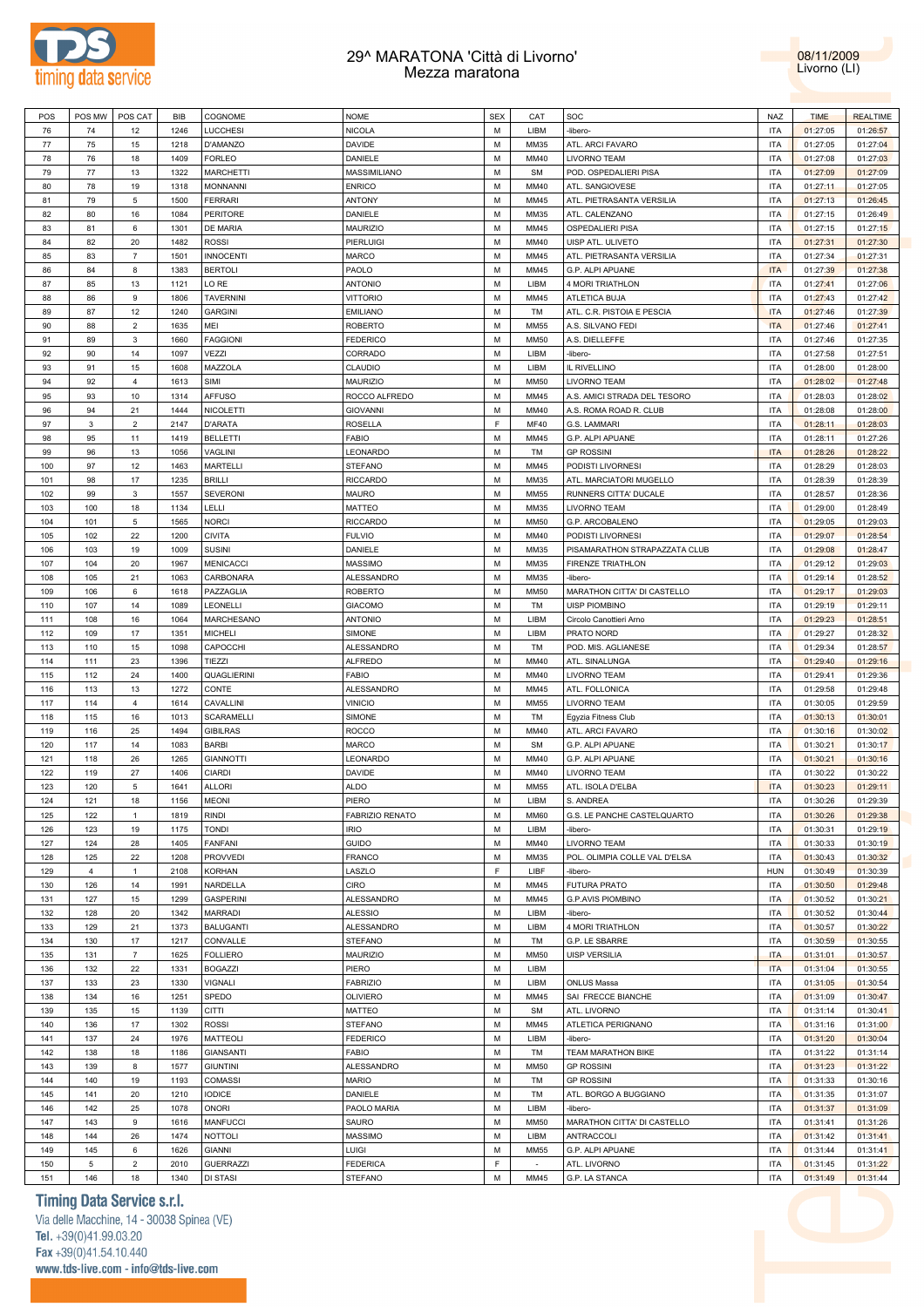



| POS     | POS MW         | POS CAT           | BIB  | COGNOME           | <b>NOME</b>            | <b>SEX</b> | CAT         | SOC                           | NAZ        | <b>TIME</b> | <b>REALTIME</b> |
|---------|----------------|-------------------|------|-------------------|------------------------|------------|-------------|-------------------------------|------------|-------------|-----------------|
| 76      | 74             | 12                | 1246 | <b>LUCCHESI</b>   | <b>NICOLA</b>          | M          | LIBM        | -libero-                      | <b>ITA</b> | 01:27:05    | 01:26:57        |
| $77 \,$ | 75             | 15                | 1218 | D'AMANZO          | <b>DAVIDE</b>          | M          | MM35        | ATL. ARCI FAVARO              | <b>ITA</b> | 01:27:05    | 01:27:04        |
| 78      | 76             | 18                | 1409 | <b>FORLEO</b>     | DANIELE                | M          | MM40        | LIVORNO TEAM                  | <b>ITA</b> | 01:27:08    | 01:27:03        |
| 79      | $77 \,$        | 13                | 1322 | <b>MARCHETTI</b>  | MASSIMILIANO           | M          | <b>SM</b>   | POD. OSPEDALIERI PISA         | <b>ITA</b> | 01:27:09    | 01:27:09        |
|         |                |                   |      |                   |                        | M          |             |                               |            |             |                 |
| 80      | 78             | 19                | 1318 | <b>MONNANNI</b>   | <b>ENRICO</b>          |            | MM40        | ATL. SANGIOVESE               | <b>ITA</b> | 01:27:11    | 01:27:05        |
| 81      | 79             | $\mathbf 5$       | 1500 | <b>FERRARI</b>    | <b>ANTONY</b>          | M          | MM45        | ATL. PIETRASANTA VERSILIA     | <b>ITA</b> | 01:27:13    | 01:26:45        |
| 82      | 80             | 16                | 1084 | <b>PERITORE</b>   | DANIELE                | M          | MM35        | ATL. CALENZANO                | <b>ITA</b> | 01:27:15    | 01:26:49        |
| 83      | 81             | $\,6\,$           | 1301 | DE MARIA          | <b>MAURIZIO</b>        | M          | MM45        | OSPEDALIERI PISA              | <b>ITA</b> | 01:27:15    | 01:27:15        |
| 84      | 82             | 20                | 1482 | <b>ROSSI</b>      | PIERLUIGI              | M          | MM40        | UISP ATL. ULIVETO             | <b>ITA</b> | 01:27:31    | 01:27:30        |
| 85      | 83             | $\overline{7}$    | 1501 | <b>INNOCENTI</b>  | <b>MARCO</b>           | M          | MM45        | ATL. PIETRASANTA VERSILIA     | <b>ITA</b> | 01:27:34    | 01:27:31        |
| 86      | 84             | 8                 | 1383 | <b>BERTOLI</b>    | PAOLO                  | M          | MM45        | G.P. ALPI APUANE              | <b>ITA</b> | 01:27:39    | 01:27:38        |
| 87      | 85             | 13                | 1121 | LO RE             | <b>ANTONIO</b>         | M          | LIBM        | 4 MORI TRIATHLON              | <b>ITA</b> | 01:27:41    | 01:27:06        |
| 88      | 86             | $\mathsf g$       | 1806 | <b>TAVERNINI</b>  | <b>VITTORIO</b>        | M          | MM45        | ATLETICA BUJA                 | <b>ITA</b> | 01:27:43    | 01:27:42        |
|         | 87             | 12                | 1240 |                   |                        | M          | TM          |                               | <b>ITA</b> |             |                 |
| 89      |                |                   |      | <b>GARGINI</b>    | <b>EMILIANO</b>        |            |             | ATL. C.R. PISTOIA E PESCIA    |            | 01:27:46    | 01:27:39        |
| 90      | 88             | $\sqrt{2}$        | 1635 | MEI               | <b>ROBERTO</b>         | M          | <b>MM55</b> | A.S. SILVANO FEDI             | <b>ITA</b> | 01:27:46    | 01:27:41        |
| 91      | 89             | $\mathbf 3$       | 1660 | <b>FAGGIONI</b>   | <b>FEDERICO</b>        | M          | <b>MM50</b> | A.S. DIELLEFFE                | <b>ITA</b> | 01:27:46    | 01:27:35        |
| 92      | 90             | 14                | 1097 | VEZZI             | CORRADO                | M          | LIBM        | -libero-                      | <b>ITA</b> | 01:27:58    | 01:27:51        |
| 93      | 91             | 15                | 1608 | MAZZOLA           | CLAUDIO                | M          | LIBM        | IL RIVELLINO                  | <b>ITA</b> | 01:28:00    | 01:28:00        |
| 94      | 92             | $\overline{4}$    | 1613 | SIMI              | <b>MAURIZIO</b>        | M          | <b>MM50</b> | LIVORNO TEAM                  | <b>ITA</b> | 01:28:02    | 01:27:48        |
| 95      | 93             | $10$              | 1314 | <b>AFFUSO</b>     | ROCCO ALFREDO          | M          | MM45        | A.S. AMICI STRADA DEL TESORO  | <b>ITA</b> | 01:28:03    | 01:28:02        |
| 96      | 94             | 21                | 1444 | <b>NICOLETTI</b>  | <b>GIOVANNI</b>        | M          | MM40        | A.S. ROMA ROAD R. CLUB        | <b>ITA</b> | 01:28:08    | 01:28:00        |
| 97      | 3              | $\overline{2}$    | 2147 | <b>D'ARATA</b>    | <b>ROSELLA</b>         | F          | MF40        | G.S. LAMMARI                  | <b>ITA</b> | 01:28:11    | 01:28:03        |
| 98      | 95             | 11                | 1419 | <b>BELLETTI</b>   | <b>FABIO</b>           | M          | MM45        | G.P. ALPI APUANE              | <b>ITA</b> | 01:28:11    | 01:27:26        |
|         |                |                   |      |                   |                        |            |             |                               |            |             |                 |
| 99      | 96             | 13                | 1056 | VAGLINI           | LEONARDO               | M          | TM          | <b>GP ROSSINI</b>             | <b>ITA</b> | 01:28:26    | 01:28:22        |
| 100     | 97             | 12                | 1463 | MARTELLI          | <b>STEFANO</b>         | M          | MM45        | PODISTI LIVORNESI             | <b>ITA</b> | 01:28:29    | 01:28:03        |
| 101     | 98             | 17                | 1235 | <b>BRILLI</b>     | <b>RICCARDO</b>        | M          | MM35        | ATL. MARCIATORI MUGELLO       | <b>ITA</b> | 01:28:39    | 01:28:39        |
| 102     | 99             | $\mathbf{3}$      | 1557 | <b>SEVERONI</b>   | <b>MAURO</b>           | M          | <b>MM55</b> | RUNNERS CITTA' DUCALE         | <b>ITA</b> | 01:28:57    | 01:28:36        |
| 103     | 100            | 18                | 1134 | LELLI             | <b>MATTEO</b>          | M          | MM35        | LIVORNO TEAM                  | <b>ITA</b> | 01:29:00    | 01:28:49        |
| 104     | 101            | $\,$ 5 $\,$       | 1565 | <b>NORCI</b>      | <b>RICCARDO</b>        | M          | <b>MM50</b> | G.P. ARCOBALENO               | <b>ITA</b> | 01:29:05    | 01:29:03        |
| 105     | 102            | 22                | 1200 | <b>CIVITA</b>     | <b>FULVIO</b>          | M          | MM40        | PODISTI LIVORNESI             | <b>ITA</b> | 01:29:07    | 01:28:54        |
| 106     | 103            | 19                | 1009 | <b>SUSINI</b>     | DANIELE                | M          | MM35        | PISAMARATHON STRAPAZZATA CLUB | <b>ITA</b> | 01:29:08    | 01:28:47        |
| 107     | 104            | 20                | 1967 | <b>MENICACCI</b>  | <b>MASSIMO</b>         | M          | MM35        | <b>FIRENZE TRIATHLON</b>      | <b>ITA</b> | 01:29:12    | 01:29:03        |
|         |                |                   |      |                   |                        | M          |             |                               |            |             |                 |
| 108     | 105            | 21                | 1063 | CARBONARA         | ALESSANDRO             |            | MM35        | -libero-                      | <b>ITA</b> | 01:29:14    | 01:28:52        |
| 109     | 106            | $\,6\,$           | 1618 | PAZZAGLIA         | <b>ROBERTO</b>         | M          | <b>MM50</b> | MARATHON CITTA' DI CASTELLO   | <b>ITA</b> | 01:29:17    | 01:29:03        |
| 110     | 107            | 14                | 1089 | LEONELLI          | <b>GIACOMO</b>         | M          | TM          | <b>UISP PIOMBINO</b>          | <b>ITA</b> | 01:29:19    | 01:29:11        |
| 111     | 108            | 16                | 1064 | MARCHESANO        | <b>ANTONIO</b>         | M          | LIBM        | Circolo Canottieri Arno       | <b>ITA</b> | 01:29:23    | 01:28:51        |
| 112     | 109            | 17                | 1351 | <b>MICHELI</b>    | SIMONE                 | M          | LIBM        | PRATO NORD                    | <b>ITA</b> | 01:29:27    | 01:28:32        |
| 113     | 110            | 15                | 1098 | CAPOCCHI          | ALESSANDRO             | M          | TM          | POD. MIS. AGLIANESE           | <b>ITA</b> | 01:29:34    | 01:28:57        |
| 114     | 111            | 23                | 1396 | TIEZZI            | <b>ALFREDO</b>         | M          | MM40        | ATL. SINALUNGA                | <b>ITA</b> | 01:29:40    | 01:29:16        |
| 115     | 112            | 24                | 1400 | QUAGLIERINI       | <b>FABIO</b>           | M          | MM40        | LIVORNO TEAM                  | <b>ITA</b> | 01:29:41    | 01:29:36        |
| 116     | 113            | 13                | 1272 | CONTE             | ALESSANDRO             | M          | MM45        | ATL. FOLLONICA                | <b>ITA</b> | 01:29:58    | 01:29:48        |
| 117     | 114            | $\overline{4}$    | 1614 | CAVALLINI         | <b>VINICIO</b>         | M          | <b>MM55</b> | LIVORNO TEAM                  | <b>ITA</b> | 01:30:05    | 01:29:59        |
|         |                |                   |      |                   |                        | M          |             |                               |            |             |                 |
| 118     | 115            | 16                | 1013 | <b>SCARAMELLI</b> | SIMONE                 |            | TM          | Egyzia Fitness Club           | <b>ITA</b> | 01:30:13    | 01:30:01        |
| 119     | 116            | 25                | 1494 | <b>GIBILRAS</b>   | <b>ROCCO</b>           | M          | MM40        | ATL. ARCI FAVARO              | <b>ITA</b> | 01:30:16    | 01:30:02        |
| 120     | 117            | 14                | 1083 | <b>BARBI</b>      | MARCO                  | M          | <b>SM</b>   | G.P. ALPI APUANE              | <b>ITA</b> | 01:30:21    | 01:30:17        |
| 121     | 118            | 26                | 1265 | <b>GIANNOTTI</b>  | LEONARDO               | M          | MM40        | G.P. ALPI APUANE              | <b>ITA</b> | 01:30:21    | 01:30:16        |
| 122     | 119            | 27                | 1406 | <b>CIARDI</b>     | <b>DAVIDE</b>          | M          | MM40        | LIVORNO TEAM                  | <b>ITA</b> | 01:30:22    | 01:30:22        |
| 123     | 120            | 5                 | 1641 | <b>ALLORI</b>     | <b>ALDO</b>            | M          | <b>MM55</b> | ATL. ISOLA D'ELBA             | <b>ITA</b> | 01:30:23    | 01:29:11        |
| 124     | 121            | 18                | 1156 | <b>MEONI</b>      | PIERO                  | M          | LIBM        | S. ANDREA                     | <b>ITA</b> | 01:30:26    | 01:29:39        |
| 125     | 122            | $\overline{1}$    | 1819 | <b>RINDI</b>      | <b>FABRIZIO RENATO</b> | M          | <b>MM60</b> | G.S. LE PANCHE CASTELQUARTO   | <b>ITA</b> | 01:30:26    | 01:29:38        |
| 126     | 123            | 19                | 1175 | <b>TONDI</b>      | <b>IRIO</b>            | M          | LIBM        | -libero-                      | <b>ITA</b> | 01:30:31    | 01:29:19        |
|         | 124            | 28                | 1405 | FANFANI           | <b>GUIDO</b>           | M          | MM40        | LIVORNO TEAM                  | <b>ITA</b> |             | 01:30:19        |
| 127     |                |                   |      |                   |                        |            |             |                               |            | 01:30:33    |                 |
| 128     | 125            | 22                | 1208 | <b>PROVVEDI</b>   | <b>FRANCO</b>          | M          | MM35        | POL. OLIMPIA COLLE VAL D'ELSA | <b>ITA</b> | 01:30:43    | 01:30:32        |
| 129     | $\overline{4}$ | $\mathbf{1}$      | 2108 | <b>KORHAN</b>     | LASZLO                 | F          | LIBF        | -libero-                      | <b>HUN</b> | 01:30:49    | 01:30:39        |
| 130     | 126            | 14                | 1991 | NARDELLA          | CIRO                   | M          | MM45        | <b>FUTURA PRATO</b>           | <b>ITA</b> | 01:30:50    | 01:29:48        |
| 131     | 127            | 15                | 1299 | <b>GASPERINI</b>  | ALESSANDRO             | M          | MM45        | <b>G.P.AVIS PIOMBINO</b>      | <b>ITA</b> | 01:30:52    | 01:30:21        |
| 132     | 128            | 20                | 1342 | <b>MARRADI</b>    | <b>ALESSIO</b>         | M          | LIBM        | -libero-                      | <b>ITA</b> | 01:30:52    | 01:30:44        |
| 133     | 129            | 21                | 1373 | <b>BALUGANTI</b>  | ALESSANDRO             | M          | LIBM        | 4 MORI TRIATHLON              | <b>ITA</b> | 01:30:57    | 01:30:22        |
| 134     | 130            | 17                | 1217 | CONVALLE          | <b>STEFANO</b>         | M          | TM          | G.P. LE SBARRE                | <b>ITA</b> | 01:30:59    | 01:30:55        |
| 135     | 131            | $\scriptstyle{7}$ | 1625 | <b>FOLLIERO</b>   | MAURIZIO               | M          | <b>MM50</b> | <b>UISP VERSILIA</b>          | <b>ITA</b> | 01:31:01    | 01:30:57        |
| 136     | 132            | 22                | 1331 | <b>BOGAZZI</b>    | PIERO                  | M          | LIBM        |                               | <b>ITA</b> | 01:31:04    | 01:30:55        |
|         |                |                   |      |                   |                        |            |             |                               |            |             |                 |
| 137     | 133            | 23                | 1330 | <b>VIGNALI</b>    | <b>FABRIZIO</b>        | M          | LIBM        | <b>ONLUS Massa</b>            | <b>ITA</b> | 01:31:05    | 01:30:54        |
| 138     | 134            | 16                | 1251 | SPEDO             | <b>OLIVIERO</b>        | M          | MM45        | SAI FRECCE BIANCHE            | <b>ITA</b> | 01:31:09    | 01:30:47        |
| 139     | 135            | 15                | 1139 | CITTI             | MATTEO                 | M          | <b>SM</b>   | ATL. LIVORNO                  | <b>ITA</b> | 01:31:14    | 01:30:41        |
| 140     | 136            | 17                | 1302 | <b>ROSSI</b>      | <b>STEFANO</b>         | M          | MM45        | ATLETICA PERIGNANO            | <b>ITA</b> | 01:31:16    | 01:31:00        |
| 141     | 137            | 24                | 1976 | <b>MATTEOLI</b>   | <b>FEDERICO</b>        | M          | LIBM        | -libero-                      | <b>ITA</b> | 01:31:20    | 01:30:04        |
| 142     | 138            | 18                | 1186 | <b>GIANSANTI</b>  | <b>FABIO</b>           | M          | TM          | TEAM MARATHON BIKE            | <b>ITA</b> | 01:31:22    | 01:31:14        |
| 143     | 139            | $\bf8$            | 1577 | <b>GIUNTINI</b>   | ALESSANDRO             | M          | <b>MM50</b> | <b>GP ROSSINI</b>             | <b>ITA</b> | 01:31:23    | 01:31:22        |
| 144     | 140            | 19                | 1193 | <b>COMASSI</b>    | <b>MARIO</b>           | M          | TM          | <b>GP ROSSINI</b>             | <b>ITA</b> | 01:31:33    | 01:30:16        |
|         | 141            | 20                | 1210 | <b>IODICE</b>     | DANIELE                | M          | TM          | ATL. BORGO A BUGGIANO         | <b>ITA</b> |             | 01:31:07        |
| 145     |                |                   |      |                   |                        |            |             |                               |            | 01:31:35    |                 |
| 146     | 142            | 25                | 1078 | <b>ONORI</b>      | PAOLO MARIA            | M          | LIBM        | -libero-                      | <b>ITA</b> | 01:31:37    | 01:31:09        |
| 147     | 143            | $\mathsf g$       | 1616 | <b>MANFUCCI</b>   | SAURO                  | M          | <b>MM50</b> | MARATHON CITTA' DI CASTELLO   | <b>ITA</b> | 01:31:41    | 01:31:26        |
| 148     | 144            | 26                | 1474 | NOTTOLI           | <b>MASSIMO</b>         | M          | LIBM        | <b>ANTRACCOLI</b>             | <b>ITA</b> | 01:31:42    | 01:31:41        |
| 149     | 145            | $\,6\,$           | 1626 | <b>GIANNI</b>     | LUIGI                  | M          | <b>MM55</b> | G.P. ALPI APUANE              | <b>ITA</b> | 01:31:44    | 01:31:41        |
| 150     | 5              | $\sqrt{2}$        | 2010 | <b>GUERRAZZI</b>  | <b>FEDERICA</b>        | F          | $\sim$      | ATL. LIVORNO                  | <b>ITA</b> | 01:31:45    | 01:31:22        |
| 151     | 146            | 18                | 1340 | DI STASI          | <b>STEFANO</b>         | М          | MM45        | G.P. LA STANCA                | <b>ITA</b> | 01:31:49    | 01:31:44        |
|         |                |                   |      |                   |                        |            |             |                               |            |             |                 |

# **Timing Data Service s.r.l.**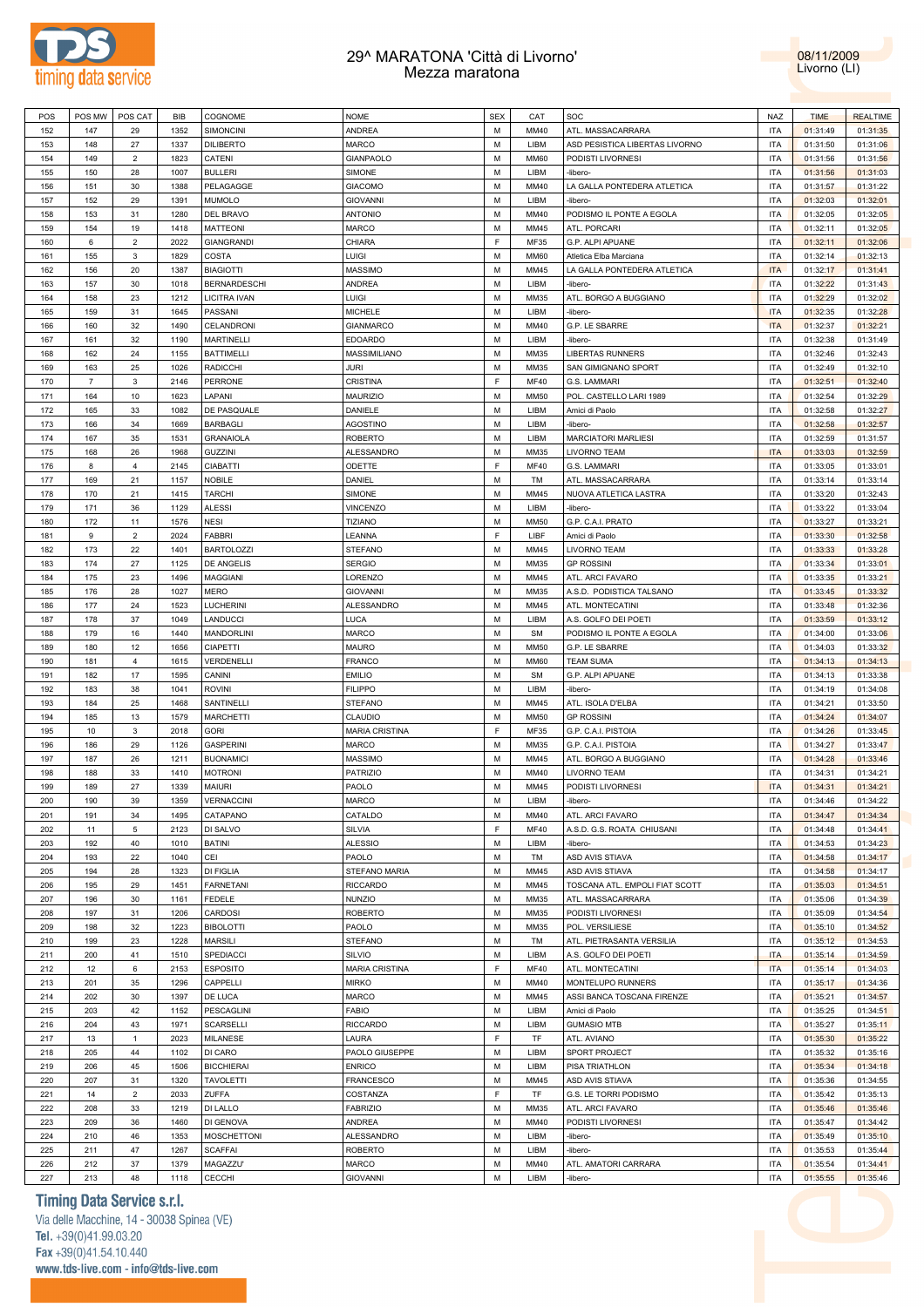



| POS | POS MW         | POS CAT        | <b>BIB</b> | COGNOME             | <b>NOME</b>           | <b>SEX</b>  | CAT         | SOC                            | <b>NAZ</b> | <b>TIME</b> | <b>REALTIME</b> |
|-----|----------------|----------------|------------|---------------------|-----------------------|-------------|-------------|--------------------------------|------------|-------------|-----------------|
| 152 | 147            | 29             | 1352       | SIMONCINI           | ANDREA                | M           | MM40        | ATL. MASSACARRARA              | <b>ITA</b> | 01:31:49    | 01:31:35        |
| 153 | 148            | 27             | 1337       | <b>DILIBERTO</b>    | MARCO                 | M           | LIBM        | ASD PESISTICA LIBERTAS LIVORNO | <b>ITA</b> | 01:31:50    | 01:31:06        |
|     |                | $\overline{2}$ |            |                     |                       | M           |             |                                |            |             |                 |
| 154 | 149            |                | 1823       | CATENI              | GIANPAOLO             |             | <b>MM60</b> | PODISTI LIVORNESI              | <b>ITA</b> | 01:31:56    | 01:31:56        |
| 155 | 150            | 28             | 1007       | <b>BULLERI</b>      | SIMONE                | M           | LIBM        | -libero-                       | <b>ITA</b> | 01:31:56    | 01:31:03        |
| 156 | 151            | 30             | 1388       | PELAGAGGE           | <b>GIACOMO</b>        | M           | MM40        | LA GALLA PONTEDERA ATLETICA    | <b>ITA</b> | 01:31:57    | 01:31:22        |
| 157 | 152            | 29             | 1391       | <b>MUMOLO</b>       | <b>GIOVANNI</b>       | M           | LIBM        | -libero-                       | <b>ITA</b> | 01:32:03    | 01:32:01        |
| 158 | 153            | 31             | 1280       | DEL BRAVO           | <b>ANTONIO</b>        | M           | MM40        | PODISMO IL PONTE A EGOLA       | <b>ITA</b> | 01:32:05    | 01:32:05        |
| 159 | 154            | 19             | 1418       | <b>MATTEONI</b>     | <b>MARCO</b>          | M           | MM45        | ATL. PORCARI                   | <b>ITA</b> | 01:32:11    | 01:32:05        |
| 160 | 6              | $\overline{2}$ | 2022       | <b>GIANGRANDI</b>   | CHIARA                | F           | MF35        | G.P. ALPI APUANE               | <b>ITA</b> | 01:32:11    | 01:32:06        |
| 161 | 155            | $\mathbf{3}$   | 1829       | COSTA               | LUIGI                 | M           | <b>MM60</b> | Atletica Elba Marciana         | <b>ITA</b> | 01:32:14    | 01:32:13        |
| 162 | 156            | 20             | 1387       | <b>BIAGIOTTI</b>    | MASSIMO               | M           | MM45        | LA GALLA PONTEDERA ATLETICA    | <b>ITA</b> | 01:32:17    | 01:31:41        |
| 163 | 157            | 30             | 1018       | <b>BERNARDESCHI</b> | ANDREA                | M           | LIBM        | -libero-                       | <b>ITA</b> | 01:32:22    | 01:31:43        |
|     |                |                |            |                     |                       |             |             |                                |            |             |                 |
| 164 | 158            | 23             | 1212       | LICITRA IVAN        | LUIGI                 | M           | MM35        | ATL. BORGO A BUGGIANO          | <b>ITA</b> | 01:32:29    | 01:32:02        |
| 165 | 159            | 31             | 1645       | PASSANI             | MICHELE               | M           | LIBM        | -libero-                       | <b>ITA</b> | 01:32:35    | 01:32:28        |
| 166 | 160            | 32             | 1490       | CELANDRONI          | <b>GIANMARCO</b>      | M           | MM40        | G.P. LE SBARRE                 | <b>ITA</b> | 01:32:37    | 01:32:21        |
| 167 | 161            | 32             | 1190       | <b>MARTINELLI</b>   | <b>EDOARDO</b>        | M           | LIBM        | -libero-                       | <b>ITA</b> | 01:32:38    | 01:31:49        |
| 168 | 162            | 24             | 1155       | <b>BATTIMELLI</b>   | MASSIMILIANO          | M           | MM35        | <b>LIBERTAS RUNNERS</b>        | <b>ITA</b> | 01:32:46    | 01:32:43        |
| 169 | 163            | 25             | 1026       | <b>RADICCHI</b>     | JURI                  | M           | MM35        | SAN GIMIGNANO SPORT            | <b>ITA</b> | 01:32:49    | 01:32:10        |
| 170 | $\overline{7}$ | $\mathbf{3}$   | 2146       | <b>PERRONE</b>      | CRISTINA              | F           | MF40        | G.S. LAMMARI                   | <b>ITA</b> | 01:32:51    | 01:32:40        |
| 171 | 164            | $10$           | 1623       | LAPANI              | <b>MAURIZIO</b>       | M           | <b>MM50</b> | POL. CASTELLO LARI 1989        | <b>ITA</b> | 01:32:54    | 01:32:29        |
| 172 | 165            | 33             | 1082       | DE PASQUALE         | DANIELE               | M           | LIBM        | Amici di Paolo                 | <b>ITA</b> | 01:32:58    | 01:32:27        |
| 173 | 166            | 34             | 1669       | <b>BARBAGLI</b>     | <b>AGOSTINO</b>       | M           | LIBM        | -libero-                       | <b>ITA</b> | 01:32:58    | 01:32:57        |
| 174 | 167            | 35             | 1531       | <b>GRANAIOLA</b>    | <b>ROBERTO</b>        | M           | LIBM        | <b>MARCIATORI MARLIESI</b>     | <b>ITA</b> | 01:32:59    | 01:31:57        |
| 175 | 168            | 26             | 1968       | <b>GUZZINI</b>      | ALESSANDRO            | M           | MM35        | LIVORNO TEAM                   | <b>ITA</b> | 01:33:03    | 01:32:59        |
| 176 | 8              | $\overline{4}$ | 2145       | <b>CIABATTI</b>     | ODETTE                | F           | <b>MF40</b> | G.S. LAMMARI                   | <b>ITA</b> | 01:33:05    | 01:33:01        |
|     |                |                |            |                     |                       |             |             |                                |            |             |                 |
| 177 | 169            | 21             | 1157       | <b>NOBILE</b>       | DANIEL                | M           | TM          | ATL. MASSACARRARA              | <b>ITA</b> | 01:33:14    | 01:33:14        |
| 178 | 170            | 21             | 1415       | <b>TARCHI</b>       | SIMONE                | M           | MM45        | NUOVA ATLETICA LASTRA          | <b>ITA</b> | 01:33:20    | 01:32:43        |
| 179 | 171            | 36             | 1129       | <b>ALESSI</b>       | <b>VINCENZO</b>       | M           | LIBM        | -libero-                       | <b>ITA</b> | 01:33:22    | 01:33:04        |
| 180 | 172            | 11             | 1576       | <b>NESI</b>         | <b>TIZIANO</b>        | M           | <b>MM50</b> | G.P. C.A.I. PRATO              | <b>ITA</b> | 01:33:27    | 01:33:21        |
| 181 | 9              | $\mathbf 2$    | 2024       | FABBRI              | LEANNA                | E           | LIBF        | Amici di Paolo                 | <b>ITA</b> | 01:33:30    | 01:32:58        |
| 182 | 173            | 22             | 1401       | <b>BARTOLOZZI</b>   | <b>STEFANO</b>        | M           | MM45        | LIVORNO TEAM                   | <b>ITA</b> | 01:33:33    | 01:33:28        |
| 183 | 174            | 27             | 1125       | DE ANGELIS          | <b>SERGIO</b>         | M           | MM35        | <b>GP ROSSINI</b>              | <b>ITA</b> | 01:33:34    | 01:33:01        |
| 184 | 175            | 23             | 1496       | <b>MAGGIANI</b>     | LORENZO               | M           | MM45        | ATL. ARCI FAVARO               | <b>ITA</b> | 01:33:35    | 01:33:21        |
| 185 | 176            | 28             | 1027       | <b>MERO</b>         | <b>GIOVANNI</b>       | M           | MM35        | A.S.D. PODISTICA TALSANO       | <b>ITA</b> | 01:33:45    | 01:33:32        |
| 186 | 177            | 24             | 1523       | LUCHERINI           | ALESSANDRO            | M           | MM45        | ATL. MONTECATINI               | <b>ITA</b> | 01:33:48    | 01:32:36        |
| 187 | 178            | 37             | 1049       | LANDUCCI            | LUCA                  | M           | LIBM        | A.S. GOLFO DEI POETI           | <b>ITA</b> | 01:33:59    | 01:33:12        |
| 188 | 179            | 16             | 1440       | <b>MANDORLINI</b>   | <b>MARCO</b>          | M           | <b>SM</b>   | PODISMO IL PONTE A EGOLA       | <b>ITA</b> | 01:34:00    | 01:33:06        |
|     |                |                |            |                     |                       |             |             |                                |            |             |                 |
| 189 | 180            | 12             | 1656       | <b>CIAPETTI</b>     | MAURO                 | M           | <b>MM50</b> | G.P. LE SBARRE                 | <b>ITA</b> | 01:34:03    | 01:33:32        |
| 190 | 181            | $\overline{4}$ | 1615       | VERDENELLI          | <b>FRANCO</b>         | M           | <b>MM60</b> | <b>TEAM SUMA</b>               | <b>ITA</b> | 01:34:13    | 01:34:13        |
| 191 | 182            | 17             | 1595       | CANINI              | <b>EMILIO</b>         | M           | <b>SM</b>   | G.P. ALPI APUANE               | <b>ITA</b> | 01:34:13    | 01:33:38        |
| 192 | 183            | 38             | 1041       | <b>ROVINI</b>       | <b>FILIPPO</b>        | M           | LIBM        | -libero-                       | <b>ITA</b> | 01:34:19    | 01:34:08        |
| 193 | 184            | 25             | 1468       | SANTINELLI          | <b>STEFANO</b>        | M           | MM45        | ATL. ISOLA D'ELBA              | <b>ITA</b> | 01:34:21    | 01:33:50        |
| 194 | 185            | 13             | 1579       | <b>MARCHETTI</b>    | CLAUDIO               | M           | <b>MM50</b> | <b>GP ROSSINI</b>              | <b>ITA</b> | 01:34:24    | 01:34:07        |
| 195 | 10             | $\mathbf{3}$   | 2018       | <b>GORI</b>         | <b>MARIA CRISTINA</b> | $\mathsf F$ | MF35        | G.P. C.A.I. PISTOIA            | <b>ITA</b> | 01:34:26    | 01:33:45        |
| 196 | 186            | 29             | 1126       | <b>GASPERINI</b>    | <b>MARCO</b>          | M           | MM35        | G.P. C.A.I. PISTOIA            | <b>ITA</b> | 01:34:27    | 01:33:47        |
| 197 | 187            | 26             | 1211       | <b>BUONAMICI</b>    | MASSIMO               | M           | MM45        | ATL. BORGO A BUGGIANO          | <b>ITA</b> | 01:34:28    | 01:33:46        |
| 198 | 188            | 33             | 1410       | <b>MOTRONI</b>      | <b>PATRIZIO</b>       | M           | MM40        | LIVORNO TEAM                   | <b>ITA</b> | 01:34:31    | 01:34:21        |
| 199 | 189            | 27             | 1339       | <b>MAIURI</b>       | PAOLO                 | M           | MM45        | PODISTI LIVORNESI              | <b>ITA</b> | 01:34:31    | 01:34:21        |
| 200 | 190            | 39             | 1359       | VERNACCINI          | <b>MARCO</b>          | M           | LIBM        | -libero-                       | <b>ITA</b> | 01:34:46    | 01:34:22        |
| 201 | 191            |                | 1495       | CATAPANO            | CATALDO               | M           | MM40        | ATL. ARCI FAVARO               | <b>ITA</b> | 01:34:47    | 01:34:34        |
|     |                | 34             |            |                     |                       | $\mathsf F$ |             | A.S.D. G.S. ROATA CHIUSANI     | <b>ITA</b> |             |                 |
| 202 | 11             | $\sqrt{5}$     | 2123       | DI SALVO            | SILVIA                |             | <b>MF40</b> |                                |            | 01:34:48    | 01:34:41        |
| 203 | 192            | 40             | 1010       | <b>BATINI</b>       | <b>ALESSIO</b>        | M           | LIBM        | -libero-                       | <b>ITA</b> | 01:34:53    | 01:34:23        |
| 204 | 193            | 22             | 1040       | CEI                 | PAOLO                 | M           | TM          | ASD AVIS STIAVA                | <b>ITA</b> | 01:34:58    | 01:34:17        |
| 205 | 194            | 28             | 1323       | DI FIGLIA           | STEFANO MARIA         | M           | MM45        | ASD AVIS STIAVA                | <b>ITA</b> | 01:34:58    | 01:34:17        |
| 206 | 195            | 29             | 1451       | <b>FARNETANI</b>    | <b>RICCARDO</b>       | M           | MM45        | TOSCANA ATL. EMPOLI FIAT SCOTT | <b>ITA</b> | 01:35:03    | 01:34:51        |
| 207 | 196            | 30             | 1161       | <b>FEDELE</b>       | <b>NUNZIO</b>         | M           | MM35        | ATL. MASSACARRARA              | <b>ITA</b> | 01:35:06    | 01:34:39        |
| 208 | 197            | 31             | 1206       | CARDOSI             | <b>ROBERTO</b>        | M           | MM35        | PODISTI LIVORNESI              | <b>ITA</b> | 01:35:09    | 01:34:54        |
| 209 | 198            | 32             | 1223       | <b>BIBOLOTTI</b>    | PAOLO                 | M           | MM35        | POL. VERSILIESE                | <b>ITA</b> | 01:35:10    | 01:34:52        |
| 210 | 199            | 23             | 1228       | <b>MARSILI</b>      | STEFANO               | M           | TM          | ATL. PIETRASANTA VERSILIA      | <b>ITA</b> | 01:35:12    | 01:34:53        |
| 211 | 200            | 41             | 1510       | SPEDIACCI           | SILVIO                | M           | LIBM        | A.S. GOLFO DEI POETI           | <b>ITA</b> | 01:35:14    | 01:34:59        |
| 212 | 12             | 6              | 2153       | <b>ESPOSITO</b>     | <b>MARIA CRISTINA</b> | F           | <b>MF40</b> | ATL. MONTECATINI               | <b>ITA</b> | 01:35:14    | 01:34:03        |
| 213 | 201            | 35             | 1296       | CAPPELLI            | <b>MIRKO</b>          | M           | MM40        | MONTELUPO RUNNERS              | <b>ITA</b> | 01:35:17    | 01:34:36        |
| 214 | 202            | 30             | 1397       | DE LUCA             | MARCO                 | M           | MM45        | ASSI BANCA TOSCANA FIRENZE     | <b>ITA</b> | 01:35:21    | 01:34:57        |
|     |                |                |            |                     |                       |             |             |                                |            |             |                 |
| 215 | 203            | 42             | 1152       | PESCAGLINI          | <b>FABIO</b>          | M           | LIBM        | Amici di Paolo                 | <b>ITA</b> | 01:35:25    | 01:34:51        |
| 216 | 204            | 43             | 1971       | <b>SCARSELLI</b>    | <b>RICCARDO</b>       | M           | LIBM        | <b>GUMASIO MTB</b>             | <b>ITA</b> | 01:35:27    | 01:35:11        |
| 217 | 13             | $\mathbf{1}$   | 2023       | <b>MILANESE</b>     | LAURA                 | F           | TF          | ATL. AVIANO                    | <b>ITA</b> | 01:35:30    | 01:35:22        |
| 218 | 205            | 44             | 1102       | DI CARO             | PAOLO GIUSEPPE        | M           | LIBM        | SPORT PROJECT                  | <b>ITA</b> | 01:35:32    | 01:35:16        |
| 219 | 206            | 45             | 1506       | <b>BICCHIERAI</b>   | <b>ENRICO</b>         | M           | LIBM        | PISA TRIATHLON                 | <b>ITA</b> | 01:35:34    | 01:34:18        |
| 220 | 207            | 31             | 1320       | <b>TAVOLETTI</b>    | <b>FRANCESCO</b>      | M           | MM45        | ASD AVIS STIAVA                | <b>ITA</b> | 01:35:36    | 01:34:55        |
| 221 | 14             | $\overline{2}$ | 2033       | ZUFFA               | COSTANZA              | F           | TF          | G.S. LE TORRI PODISMO          | <b>ITA</b> | 01:35:42    | 01:35:13        |
| 222 | 208            | 33             | 1219       | DI LALLO            | <b>FABRIZIO</b>       | M           | MM35        | ATL. ARCI FAVARO               | <b>ITA</b> | 01:35:46    | 01:35:46        |
| 223 | 209            | 36             | 1460       | DI GENOVA           | ANDREA                | M           | MM40        | PODISTI LIVORNESI              | <b>ITA</b> | 01:35:47    | 01:34:42        |
| 224 | 210            | 46             | 1353       | <b>MOSCHETTONI</b>  | ALESSANDRO            | M           | LIBM        | -libero-                       | <b>ITA</b> | 01:35:49    | 01:35:10        |
| 225 | 211            | 47             | 1267       | <b>SCAFFAI</b>      | <b>ROBERTO</b>        | M           | LIBM        | -libero-                       | <b>ITA</b> | 01:35:53    | 01:35:44        |
| 226 | 212            | 37             | 1379       | MAGAZZU'            | MARCO                 | M           | MM40        | ATL. AMATORI CARRARA           | <b>ITA</b> | 01:35:54    | 01:34:41        |
|     |                |                |            |                     |                       |             |             |                                |            |             |                 |
| 227 | 213            | 48             | 1118       | CECCHI              | <b>GIOVANNI</b>       | М           | LIBM        | -libero-                       | <b>ITA</b> | 01:35:55    | 01:35:46        |

# **Timing Data Service s.r.l.**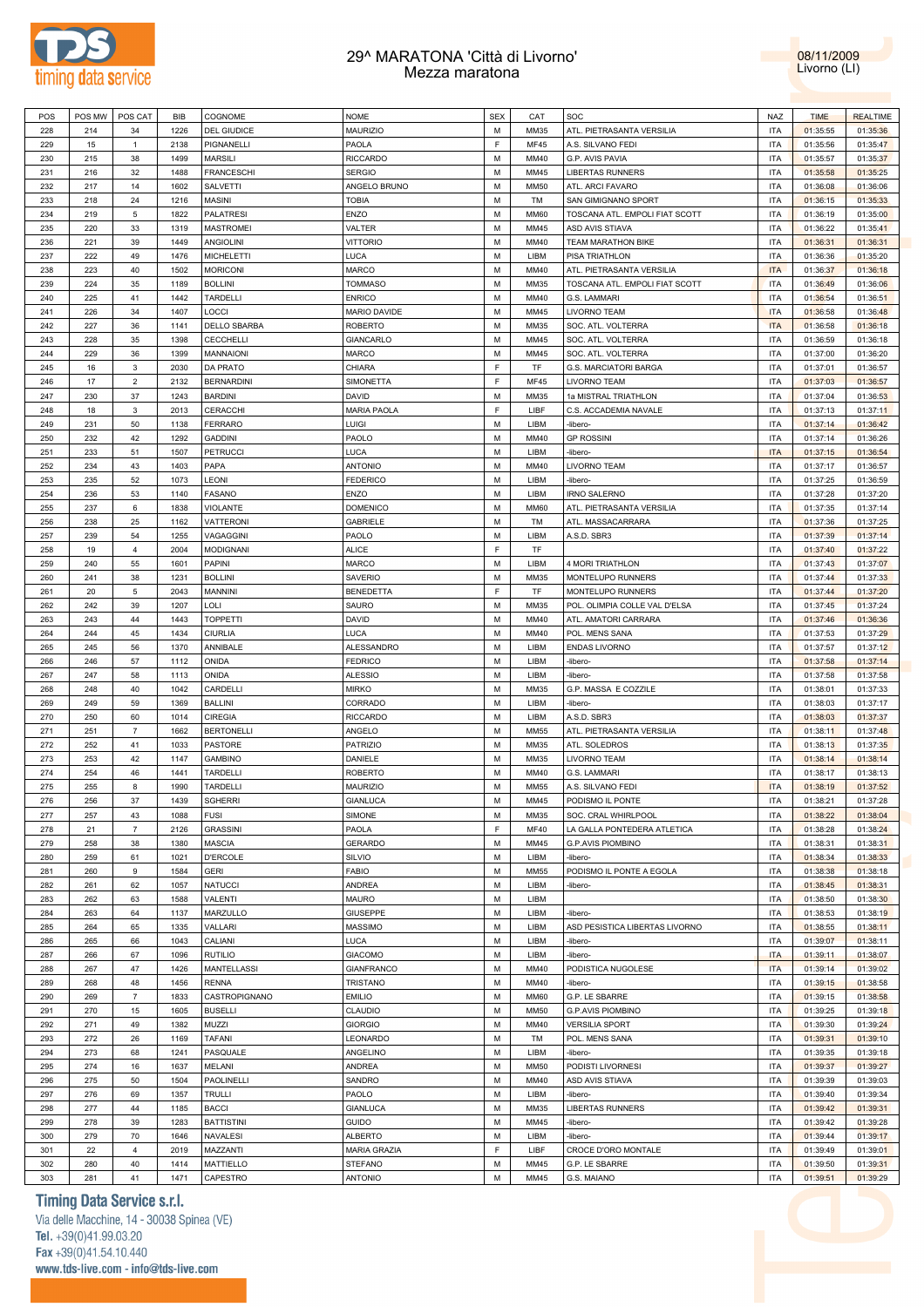



| POS | POS MW | POS CAT        | BIB  | <b>COGNOME</b>      | <b>NOME</b>         | <b>SEX</b> | CAT         | SOC                            | <b>NAZ</b> | <b>TIME</b> | <b>REALTIME</b> |
|-----|--------|----------------|------|---------------------|---------------------|------------|-------------|--------------------------------|------------|-------------|-----------------|
| 228 | 214    | 34             | 1226 | <b>DEL GIUDICE</b>  | <b>MAURIZIO</b>     | M          | MM35        | ATL. PIETRASANTA VERSILIA      | ITA        | 01:35:55    | 01:35:36        |
| 229 | 15     | $\mathbf{1}$   | 2138 | PIGNANELLI          | PAOLA               | E          | <b>MF45</b> | A.S. SILVANO FEDI              | <b>ITA</b> | 01:35:56    | 01:35:47        |
| 230 | 215    | 38             | 1499 | <b>MARSILI</b>      | <b>RICCARDO</b>     | M          | <b>MM40</b> | G.P. AVIS PAVIA                | <b>ITA</b> | 01:35:57    | 01:35:37        |
|     |        |                |      |                     |                     |            |             |                                |            |             |                 |
| 231 | 216    | 32             | 1488 | <b>FRANCESCHI</b>   | <b>SERGIO</b>       | M          | MM45        | <b>LIBERTAS RUNNERS</b>        | ITA        | 01:35:58    | 01:35:25        |
| 232 | 217    | 14             | 1602 | <b>SALVETTI</b>     | ANGELO BRUNO        | M          | <b>MM50</b> | ATL. ARCI FAVARO               | ITA        | 01:36:08    | 01:36:06        |
| 233 | 218    | 24             | 1216 | <b>MASINI</b>       | <b>TOBIA</b>        | M          | TM          | SAN GIMIGNANO SPORT            | <b>ITA</b> | 01:36:15    | 01:35:33        |
| 234 | 219    | 5              | 1822 | <b>PALATRESI</b>    | <b>ENZO</b>         | M          | <b>MM60</b> | TOSCANA ATL. EMPOLI FIAT SCOTT | ITA        | 01:36:19    | 01:35:00        |
| 235 | 220    | 33             | 1319 | <b>MASTROMEI</b>    | VALTER              | M          | <b>MM45</b> | ASD AVIS STIAVA                | <b>ITA</b> | 01:36:22    | 01:35:41        |
| 236 | 221    | 39             | 1449 | <b>ANGIOLINI</b>    | <b>VITTORIO</b>     | M          | <b>MM40</b> | TEAM MARATHON BIKE             | <b>ITA</b> | 01:36:31    | 01:36:31        |
| 237 | 222    | 49             | 1476 | <b>MICHELETTI</b>   | LUCA                | M          | LIBM        | PISA TRIATHLON                 | <b>ITA</b> | 01:36:36    | 01:35:20        |
| 238 | 223    | 40             | 1502 | <b>MORICONI</b>     | <b>MARCO</b>        | M          | <b>MM40</b> | ATL. PIETRASANTA VERSILIA      | <b>ITA</b> | 01:36:37    | 01:36:18        |
| 239 | 224    | 35             | 1189 | <b>BOLLINI</b>      | <b>TOMMASO</b>      | M          | MM35        | TOSCANA ATL. EMPOLI FIAT SCOTT | <b>ITA</b> | 01:36:49    | 01:36:06        |
|     |        |                |      |                     |                     |            |             |                                |            |             |                 |
| 240 | 225    | 41             | 1442 | TARDELLI            | <b>ENRICO</b>       | M          | MM40        | G.S. LAMMARI                   | ITA        | 01:36:54    | 01:36:51        |
| 241 | 226    | 34             | 1407 | LOCCI               | <b>MARIO DAVIDE</b> | M          | <b>MM45</b> | <b>LIVORNO TEAM</b>            | <b>ITA</b> | 01:36:58    | 01:36:48        |
| 242 | 227    | 36             | 1141 | <b>DELLO SBARBA</b> | <b>ROBERTO</b>      | M          | MM35        | SOC. ATL. VOLTERRA             | <b>ITA</b> | 01:36:58    | 01:36:18        |
| 243 | 228    | 35             | 1398 | <b>CECCHELLI</b>    | <b>GIANCARLO</b>    | M          | MM45        | SOC. ATL. VOLTERRA             | ITA        | 01:36:59    | 01:36:18        |
| 244 | 229    | 36             | 1399 | MANNAIONI           | <b>MARCO</b>        | M          | MM45        | SOC. ATL. VOLTERRA             | <b>ITA</b> | 01:37:00    | 01:36:20        |
| 245 | 16     | 3              | 2030 | <b>DA PRATO</b>     | CHIARA              | F          | TF          | <b>G.S. MARCIATORI BARGA</b>   | ITA        | 01:37:01    | 01:36:57        |
| 246 | 17     | $\overline{2}$ | 2132 | <b>BERNARDINI</b>   | SIMONETTA           | F          | <b>MF45</b> | <b>LIVORNO TEAM</b>            | ITA        | 01:37:03    | 01:36:57        |
| 247 | 230    | 37             | 1243 | <b>BARDINI</b>      | DAVID               | M          | MM35        | 1a MISTRAL TRIATHLON           | <b>ITA</b> | 01:37:04    | 01:36:53        |
| 248 | 18     | 3              | 2013 | CERACCHI            | <b>MARIA PAOLA</b>  | F          | LIBF        | C.S. ACCADEMIA NAVALE          | <b>ITA</b> | 01:37:13    | 01:37:11        |
|     |        |                |      |                     |                     |            |             |                                |            |             |                 |
| 249 | 231    | 50             | 1138 | <b>FERRARO</b>      | LUIGI               | M          | LIBM        | -libero-                       | ITA        | 01:37:14    | 01:36:42        |
| 250 | 232    | 42             | 1292 | <b>GADDINI</b>      | PAOLO               | M          | <b>MM40</b> | <b>GP ROSSINI</b>              | <b>ITA</b> | 01:37:14    | 01:36:26        |
| 251 | 233    | 51             | 1507 | <b>PETRUCCI</b>     | LUCA                | M          | LIBM        | -libero-                       | <b>ITA</b> | 01:37:15    | 01:36:54        |
| 252 | 234    | 43             | 1403 | PAPA                | <b>ANTONIO</b>      | M          | MM40        | <b>LIVORNO TEAM</b>            | ITA        | 01:37:17    | 01:36:57        |
| 253 | 235    | 52             | 1073 | LEONI               | <b>FEDERICO</b>     | M          | LIBM        | -libero-                       | <b>ITA</b> | 01:37:25    | 01:36:59        |
| 254 | 236    | 53             | 1140 | <b>FASANO</b>       | <b>ENZO</b>         | M          | LIBM        | <b>IRNO SALERNO</b>            | ITA        | 01:37:28    | 01:37:20        |
| 255 | 237    | 6              | 1838 | <b>VIOLANTE</b>     | <b>DOMENICO</b>     | M          | <b>MM60</b> | ATL. PIETRASANTA VERSILIA      | ITA        | 01:37:35    | 01:37:14        |
| 256 | 238    | 25             | 1162 | VATTERONI           | <b>GABRIELE</b>     | M          | <b>TM</b>   | ATL. MASSACARRARA              | <b>ITA</b> | 01:37:36    | 01:37:25        |
| 257 | 239    | 54             | 1255 | VAGAGGINI           | PAOLO               | M          | LIBM        | A.S.D. SBR3                    | ITA        | 01:37:39    | 01:37:14        |
|     |        |                |      |                     |                     |            |             |                                |            |             |                 |
| 258 | 19     | $\overline{4}$ | 2004 | <b>MODIGNANI</b>    | <b>ALICE</b>        | F          | TF          |                                | ITA        | 01:37:40    | 01:37:22        |
| 259 | 240    | 55             | 1601 | PAPINI              | <b>MARCO</b>        | M          | LIBM        | 4 MORI TRIATHLON               | <b>ITA</b> | 01:37:43    | 01:37:07        |
| 260 | 241    | 38             | 1231 | <b>BOLLINI</b>      | SAVERIO             | M          | MM35        | MONTELUPO RUNNERS              | ITA        | 01:37:44    | 01:37:33        |
| 261 | 20     | 5              | 2043 | MANNINI             | <b>BENEDETTA</b>    | F          | TF          | MONTELUPO RUNNERS              | ITA        | 01:37:44    | 01:37:20        |
| 262 | 242    | 39             | 1207 | <b>LOLI</b>         | SAURO               | M          | <b>MM35</b> | POL. OLIMPIA COLLE VAL D'ELSA  | <b>ITA</b> | 01:37:45    | 01:37:24        |
| 263 | 243    | 44             | 1443 | <b>TOPPETTI</b>     | DAVID               | M          | MM40        | ATL. AMATORI CARRARA           | ITA        | 01:37:46    | 01:36:36        |
| 264 | 244    | 45             | 1434 | <b>CIURLIA</b>      | LUCA                | M          | MM40        | POL. MENS SANA                 | <b>ITA</b> | 01:37:53    | 01:37:29        |
| 265 | 245    | 56             | 1370 | ANNIBALE            | <b>ALESSANDRO</b>   | M          | LIBM        | <b>ENDAS LIVORNO</b>           | <b>ITA</b> | 01:37:57    | 01:37:12        |
| 266 | 246    | 57             | 1112 | ONIDA               | <b>FEDRICO</b>      | M          | LIBM        | -libero-                       | ITA        | 01:37:58    | 01:37:14        |
|     | 247    |                |      |                     |                     | M          |             |                                |            |             |                 |
| 267 |        | 58             | 1113 | ONIDA               | <b>ALESSIO</b>      |            | LIBM        | -libero-                       | ITA        | 01:37:58    | 01:37:58        |
| 268 | 248    | 40             | 1042 | CARDELLI            | <b>MIRKO</b>        | M          | MM35        | G.P. MASSA E COZZILE           | <b>ITA</b> | 01:38:01    | 01:37:33        |
| 269 | 249    | 59             | 1369 | <b>BALLINI</b>      | CORRADO             | M          | LIBM        | -libero-                       | ITA        | 01:38:03    | 01:37:17        |
| 270 | 250    | 60             | 1014 | <b>CIREGIA</b>      | <b>RICCARDO</b>     | M          | LIBM        | A.S.D. SBR3                    | ITA        | 01:38:03    | 01:37:37        |
| 271 | 251    | $\overline{7}$ | 1662 | <b>BERTONELLI</b>   | ANGELO              | M          | MM55        | ATL. PIETRASANTA VERSILIA      | <b>ITA</b> | 01:38:11    | 01:37:48        |
| 272 | 252    | 41             | 1033 | <b>PASTORE</b>      | <b>PATRIZIO</b>     | M          | MM35        | ATL. SOLEDROS                  | <b>ITA</b> | 01:38:13    | 01:37:35        |
| 273 | 253    | 42             | 1147 | <b>GAMBINO</b>      | DANIELE             | M          | MM35        | LIVORNO TEAM                   | ITA        | 01:38:14    | 01:38:14        |
| 274 | 254    | 46             | 1441 | TARDELLI            | <b>ROBERTO</b>      | M          | <b>MM40</b> | G.S. LAMMARI                   | <b>ITA</b> | 01:38:17    | 01:38:13        |
| 275 | 255    | 8              | 1990 | TARDELLI            | MAURIZIO            | M          | MM55        | A.S. SILVANO FEDI              | <b>ITA</b> | 01:38:19    | 01:37:52        |
|     |        |                |      |                     |                     |            |             | PODISMO IL PONTE               |            |             |                 |
| 276 | 256    | 37             | 1439 | <b>SGHERRI</b>      | <b>GIANLUCA</b>     | M          | <b>MM45</b> |                                | <b>ITA</b> | 01:38:21    | 01:37:28        |
| 277 | 257    | 43             | 1088 | <b>FUSI</b>         | SIMONE              | M          | MM35        | SOC. CRAL WHIRLPOOL            | <b>ITA</b> | 01:38:22    | 01:38:04        |
| 278 | 21     | $\overline{7}$ | 2126 | <b>GRASSINI</b>     | PAOLA               | E          | MF40        | LA GALLA PONTEDERA ATLETICA    | ITA        | 01:38:28    | 01:38:24        |
| 279 | 258    | 38             | 1380 | <b>MASCIA</b>       | <b>GERARDO</b>      | M          | MM45        | G.P.AVIS PIOMBINO              | <b>ITA</b> | 01:38:31    | 01:38:31        |
| 280 | 259    | 61             | 1021 | <b>D'ERCOLE</b>     | SILVIO              | M          | LIBM        | -libero-                       | ITA        | 01:38:34    | 01:38:33        |
| 281 | 260    | $\mathsf g$    | 1584 | <b>GERI</b>         | <b>FABIO</b>        | M          | MM55        | PODISMO IL PONTE A EGOLA       | ITA        | 01:38:38    | 01:38:18        |
| 282 | 261    | 62             | 1057 | <b>NATUCCI</b>      | <b>ANDREA</b>       | M          | LIBM        | -libero-                       | ITA        | 01:38:45    | 01:38:31        |
| 283 | 262    | 63             | 1588 | VALENTI             | <b>MAURO</b>        | M          | LIBM        |                                | <b>ITA</b> | 01:38:50    | 01:38:30        |
| 284 | 263    | 64             | 1137 | MARZULLO            | <b>GIUSEPPE</b>     | M          | LIBM        | -libero-                       | ITA        | 01:38:53    | 01:38:19        |
|     |        |                |      |                     |                     |            |             |                                |            |             |                 |
| 285 | 264    | 65             | 1335 | VALLARI             | <b>MASSIMO</b>      | M          | LIBM        | ASD PESISTICA LIBERTAS LIVORNO | <b>ITA</b> | 01:38:55    | 01:38:11        |
| 286 | 265    | 66             | 1043 | CALIANI             | LUCA                | M          | LIBM        | -libero-                       | <b>ITA</b> | 01:39:07    | 01:38:11        |
| 287 | 266    | 67             | 1096 | <b>RUTILIO</b>      | <b>GIACOMO</b>      | M          | LIBM        | -libero-                       | <b>ITA</b> | 01:39:11    | 01:38:07        |
| 288 | 267    | 47             | 1426 | <b>MANTELLASSI</b>  | <b>GIANFRANCO</b>   | M          | MM40        | PODISTICA NUGOLESE             | <b>ITA</b> | 01:39:14    | 01:39:02        |
| 289 | 268    | 48             | 1456 | <b>RENNA</b>        | <b>TRISTANO</b>     | M          | MM40        | -libero-                       | <b>ITA</b> | 01:39:15    | 01:38:58        |
| 290 | 269    | $\overline{7}$ | 1833 | CASTROPIGNANO       | <b>EMILIO</b>       | M          | <b>MM60</b> | G.P. LE SBARRE                 | ITA        | 01:39:15    | 01:38:58        |
| 291 | 270    | 15             | 1605 | <b>BUSELLI</b>      | CLAUDIO             | M          | <b>MM50</b> | G.P.AVIS PIOMBINO              | ITA        | 01:39:25    | 01:39:18        |
| 292 | 271    | 49             | 1382 | MUZZI               | <b>GIORGIO</b>      | M          | MM40        | <b>VERSILIA SPORT</b>          | ITA        | 01:39:30    | 01:39:24        |
|     |        |                |      |                     |                     |            |             |                                |            |             |                 |
| 293 | 272    | 26             | 1169 | <b>TAFANI</b>       | LEONARDO            | M          | TM          | POL. MENS SANA                 | ITA        | 01:39:31    | 01:39:10        |
| 294 | 273    | 68             | 1241 | PASQUALE            | ANGELINO            | M          | LIBM        | -libero-                       | ITA        | 01:39:35    | 01:39:18        |
| 295 | 274    | 16             | 1637 | MELANI              | <b>ANDREA</b>       | M          | <b>MM50</b> | PODISTI LIVORNESI              | ITA        | 01:39:37    | 01:39:27        |
| 296 | 275    | 50             | 1504 | PAOLINELLI          | SANDRO              | M          | MM40        | ASD AVIS STIAVA                | ITA        | 01:39:39    | 01:39:03        |
| 297 | 276    | 69             | 1357 | <b>TRULLI</b>       | PAOLO               | M          | LIBM        | -libero-                       | <b>ITA</b> | 01:39:40    | 01:39:34        |
| 298 | 277    | 44             | 1185 | <b>BACCI</b>        | <b>GIANLUCA</b>     | M          | MM35        | LIBERTAS RUNNERS               | <b>ITA</b> | 01:39:42    | 01:39:31        |
| 299 | 278    | 39             | 1283 | <b>BATTISTINI</b>   | <b>GUIDO</b>        | M          | MM45        | -libero-                       | ITA        | 01:39:42    | 01:39:28        |
|     |        |                |      |                     |                     |            |             |                                |            |             |                 |
| 300 | 279    | 70             | 1646 | <b>NAVALESI</b>     | <b>ALBERTO</b>      | M          | LIBM        | -libero-                       | ITA        | 01:39:44    | 01:39:17        |
| 301 | 22     | $\overline{4}$ | 2019 | MAZZANTI            | MARIA GRAZIA        | E          | LIBF        | CROCE D'ORO MONTALE            | ITA        | 01:39:49    | 01:39:01        |
| 302 | 280    | 40             | 1414 | <b>MATTIELLO</b>    | <b>STEFANO</b>      | M          | MM45        | G.P. LE SBARRE                 | <b>ITA</b> | 01:39:50    | 01:39:31        |
| 303 | 281    | 41             | 1471 | CAPESTRO            | <b>ANTONIO</b>      | M          | MM45        | G.S. MAIANO                    | <b>ITA</b> | 01:39:51    | 01:39:29        |

### **Timing Data Service s.r.l.**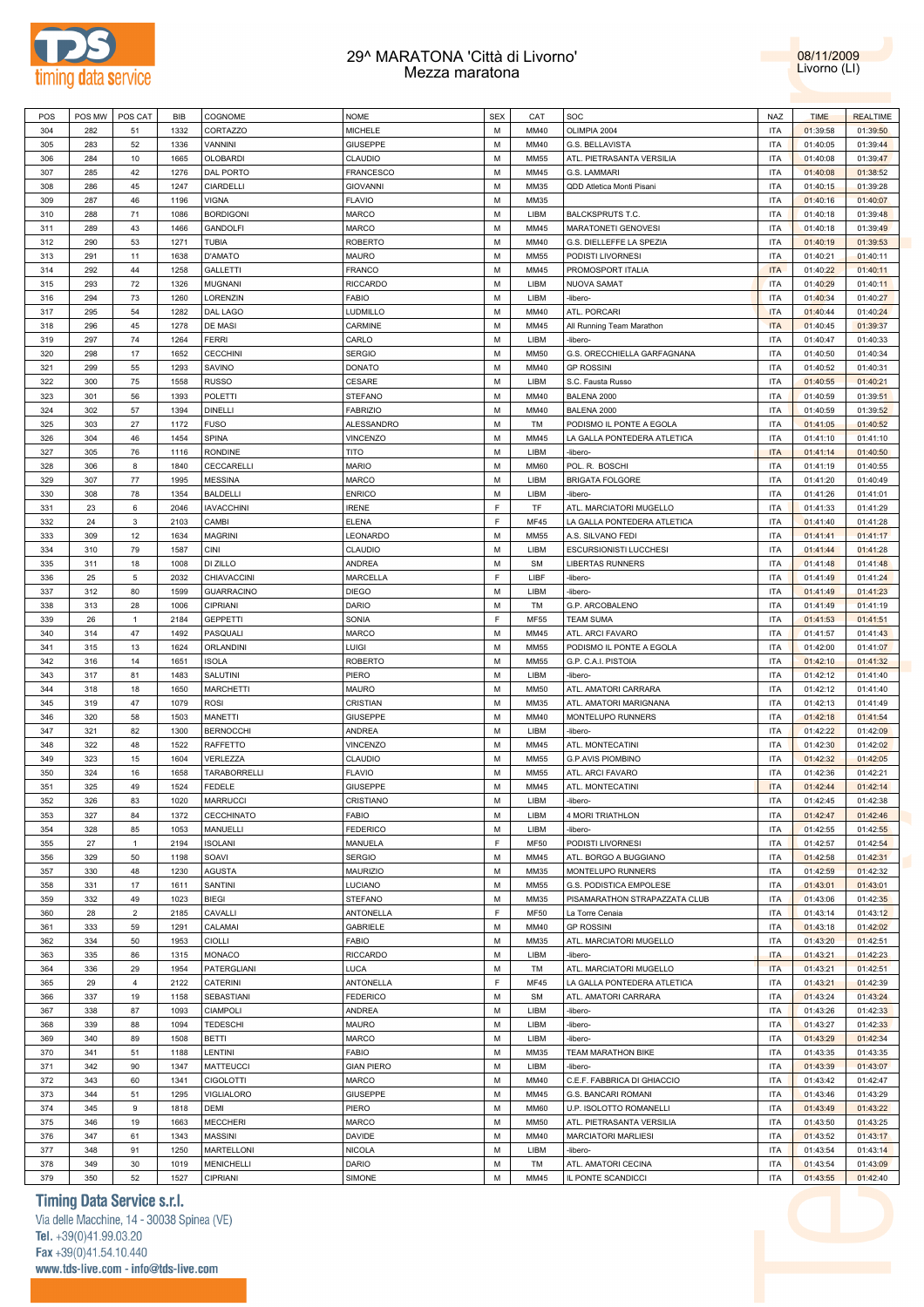



| POS | POS MW | POS CAT         | BIB  | COGNOME             | <b>NOME</b>       | <b>SEX</b> | CAT         | SOC                           | <b>NAZ</b> | <b>TIME</b> | <b>REALTIME</b> |
|-----|--------|-----------------|------|---------------------|-------------------|------------|-------------|-------------------------------|------------|-------------|-----------------|
| 304 | 282    | 51              | 1332 | CORTAZZO            | MICHELE           | M          | MM40        | OLIMPIA 2004                  | <b>ITA</b> | 01:39:58    | 01:39:50        |
| 305 | 283    | 52              | 1336 | VANNINI             | <b>GIUSEPPE</b>   | M          | MM40        | G.S. BELLAVISTA               | <b>ITA</b> | 01:40:05    | 01:39:44        |
|     |        |                 |      |                     |                   | М          |             |                               |            |             |                 |
| 306 | 284    | 10              | 1665 | OLOBARDI            | CLAUDIO           |            | MM55        | ATL. PIETRASANTA VERSILIA     | <b>ITA</b> | 01:40:08    | 01:39:47        |
| 307 | 285    | 42              | 1276 | DAL PORTO           | <b>FRANCESCO</b>  | М          | MM45        | G.S. LAMMARI                  | <b>ITA</b> | 01:40:08    | 01:38:52        |
| 308 | 286    | 45              | 1247 | CIARDELLI           | <b>GIOVANNI</b>   | М          | MM35        | QDD Atletica Monti Pisani     | <b>ITA</b> | 01:40:15    | 01:39:28        |
| 309 | 287    | 46              | 1196 | <b>VIGNA</b>        | <b>FLAVIO</b>     | М          | MM35        |                               | <b>ITA</b> | 01:40:16    | 01:40:07        |
| 310 | 288    | 71              | 1086 | <b>BORDIGONI</b>    | <b>MARCO</b>      | М          | LIBM        | <b>BALCKSPRUTS T.C.</b>       | <b>ITA</b> | 01:40:18    | 01:39:48        |
| 311 | 289    | 43              | 1466 | <b>GANDOLFI</b>     | MARCO             | М          | MM45        | MARATONETI GENOVESI           | <b>ITA</b> | 01:40:18    | 01:39:49        |
| 312 | 290    | 53              | 1271 | <b>TUBIA</b>        | <b>ROBERTO</b>    | М          | MM40        | G.S. DIELLEFFE LA SPEZIA      | <b>ITA</b> | 01:40:19    | 01:39:53        |
| 313 | 291    | 11              | 1638 | <b>D'AMATO</b>      | <b>MAURO</b>      | М          | <b>MM55</b> | PODISTI LIVORNESI             | <b>ITA</b> | 01:40:21    | 01:40:11        |
| 314 | 292    | 44              | 1258 | <b>GALLETTI</b>     | <b>FRANCO</b>     | M          | MM45        | PROMOSPORT ITALIA             | <b>ITA</b> | 01:40:22    | 01:40:11        |
| 315 | 293    | 72              | 1326 | <b>MUGNANI</b>      | <b>RICCARDO</b>   | M          | LIBM        | NUOVA SAMAT                   | <b>ITA</b> | 01:40:29    | 01:40:11        |
|     |        | 73              |      |                     |                   | M          |             |                               |            |             |                 |
| 316 | 294    |                 | 1260 | LORENZIN            | <b>FABIO</b>      |            | LIBM        | -libero-                      | <b>ITA</b> | 01:40:34    | 01:40:27        |
| 317 | 295    | 54              | 1282 | DAL LAGO            | LUDMILLO          | M          | MM40        | ATL. PORCARI                  | <b>ITA</b> | 01:40:44    | 01:40:24        |
| 318 | 296    | 45              | 1278 | DE MASI             | CARMINE           | M          | MM45        | All Running Team Marathon     | <b>ITA</b> | 01:40:45    | 01:39:37        |
| 319 | 297    | 74              | 1264 | <b>FERRI</b>        | CARLO             | M          | LIBM        | -libero-                      | <b>ITA</b> | 01:40:47    | 01:40:33        |
| 320 | 298    | 17              | 1652 | <b>CECCHINI</b>     | <b>SERGIO</b>     | M          | <b>MM50</b> | G.S. ORECCHIELLA GARFAGNANA   | <b>ITA</b> | 01:40:50    | 01:40:34        |
| 321 | 299    | 55              | 1293 | SAVINO              | DONATO            | M          | MM40        | <b>GP ROSSINI</b>             | <b>ITA</b> | 01:40:52    | 01:40:31        |
| 322 | 300    | 75              | 1558 | <b>RUSSO</b>        | CESARE            | М          | LIBM        | S.C. Fausta Russo             | <b>ITA</b> | 01:40:55    | 01:40:21        |
| 323 | 301    | 56              | 1393 | POLETTI             | <b>STEFANO</b>    | М          | MM40        | BALENA 2000                   | <b>ITA</b> | 01:40:59    | 01:39:51        |
| 324 | 302    | 57              | 1394 | <b>DINELLI</b>      | <b>FABRIZIO</b>   | М          | MM40        | BALENA 2000                   | <b>ITA</b> | 01:40:59    | 01:39:52        |
| 325 | 303    | 27              | 1172 | <b>FUSO</b>         | ALESSANDRO        | M          | TM          | PODISMO IL PONTE A EGOLA      | <b>ITA</b> | 01:41:05    | 01:40:52        |
| 326 | 304    | 46              | 1454 | SPINA               | VINCENZO          | М          | MM45        | LA GALLA PONTEDERA ATLETICA   | <b>ITA</b> | 01:41:10    | 01:41:10        |
| 327 | 305    | 76              | 1116 | <b>RONDINE</b>      | TITO              | М          | LIBM        | -libero-                      | <b>ITA</b> | 01:41:14    | 01:40:50        |
| 328 | 306    | 8               | 1840 | CECCARELLI          | <b>MARIO</b>      | М          | <b>MM60</b> | POL. R. BOSCHI                | <b>ITA</b> | 01:41:19    | 01:40:55        |
| 329 | 307    | 77              | 1995 | <b>MESSINA</b>      | MARCO             | М          | LIBM        | <b>BRIGATA FOLGORE</b>        | <b>ITA</b> | 01:41:20    | 01:40:49        |
|     |        |                 |      |                     |                   |            |             |                               |            |             |                 |
| 330 | 308    | 78              | 1354 | <b>BALDELLI</b>     | <b>ENRICO</b>     | М          | LIBM        | -libero-                      | <b>ITA</b> | 01:41:26    | 01:41:01        |
| 331 | 23     | 6               | 2046 | <b>IAVACCHINI</b>   | <b>IRENE</b>      | E          | TF          | ATL. MARCIATORI MUGELLO       | <b>ITA</b> | 01:41:33    | 01:41:29        |
| 332 | 24     | $\mathbf{3}$    | 2103 | CAMBI               | <b>ELENA</b>      | F          | <b>MF45</b> | LA GALLA PONTEDERA ATLETICA   | <b>ITA</b> | 01:41:40    | 01:41:28        |
| 333 | 309    | 12              | 1634 | <b>MAGRINI</b>      | LEONARDO          | M          | <b>MM55</b> | A.S. SILVANO FEDI             | <b>ITA</b> | 01:41:41    | 01:41:17        |
| 334 | 310    | 79              | 1587 | <b>CINI</b>         | CLAUDIO           | M          | LIBM        | <b>ESCURSIONISTI LUCCHESI</b> | <b>ITA</b> | 01:41:44    | 01:41:28        |
| 335 | 311    | 18              | 1008 | DI ZILLO            | ANDREA            | M          | <b>SM</b>   | LIBERTAS RUNNERS              | <b>ITA</b> | 01:41:48    | 01:41:48        |
| 336 | 25     | $5\phantom{.0}$ | 2032 | CHIAVACCINI         | MARCELLA          | F          | LIBF        | -libero-                      | <b>ITA</b> | 01:41:49    | 01:41:24        |
| 337 | 312    | 80              | 1599 | <b>GUARRACINO</b>   | <b>DIEGO</b>      | M          | LIBM        | -libero-                      | <b>ITA</b> | 01:41:49    | 01:41:23        |
| 338 | 313    | 28              | 1006 | CIPRIANI            | DARIO             | М          | TM          | G.P. ARCOBALENO               | <b>ITA</b> | 01:41:49    | 01:41:19        |
| 339 | 26     | $\mathbf{1}$    | 2184 | <b>GEPPETTI</b>     | SONIA             | F          | MF55        | <b>TEAM SUMA</b>              | <b>ITA</b> | 01:41:53    | 01:41:51        |
| 340 | 314    | 47              | 1492 | PASQUALI            | MARCO             | М          | MM45        | ATL. ARCI FAVARO              | <b>ITA</b> | 01:41:57    | 01:41:43        |
| 341 | 315    | 13              | 1624 | ORLANDINI           | LUIGI             | М          | <b>MM55</b> | PODISMO IL PONTE A EGOLA      | <b>ITA</b> | 01:42:00    | 01:41:07        |
| 342 | 316    | 14              | 1651 | <b>ISOLA</b>        |                   | М          | MM55        |                               | <b>ITA</b> | 01:42:10    | 01:41:32        |
|     |        |                 |      |                     | ROBERTO           |            |             | G.P. C.A.I. PISTOIA           |            |             |                 |
| 343 | 317    | 81              | 1483 | SALUTINI            | PIERO             | М          | LIBM        | -libero-                      | <b>ITA</b> | 01:42:12    | 01:41:40        |
| 344 | 318    | 18              | 1650 | <b>MARCHETTI</b>    | MAURO             | М          | <b>MM50</b> | ATL. AMATORI CARRARA          | <b>ITA</b> | 01:42:12    | 01:41:40        |
| 345 | 319    | 47              | 1079 | <b>ROSI</b>         | CRISTIAN          | М          | MM35        | ATL. AMATORI MARIGNANA        | <b>ITA</b> | 01:42:13    | 01:41:49        |
| 346 | 320    | 58              | 1503 | MANETTI             | GIUSEPPE          | М          | MM40        | MONTELUPO RUNNERS             | <b>ITA</b> | 01:42:18    | 01:41:54        |
| 347 | 321    | 82              | 1300 | <b>BERNOCCHI</b>    | ANDREA            | М          | LIBM        | -libero-                      | <b>ITA</b> | 01:42:22    | 01:42:09        |
| 348 | 322    | 48              | 1522 | RAFFETTO            | VINCENZO          | М          | MM45        | ATL. MONTECATINI              | <b>ITA</b> | 01:42:30    | 01:42:02        |
| 349 | 323    | 15              | 1604 | VERLEZZA            | CLAUDIO           | М          | <b>MM55</b> | <b>G.P.AVIS PIOMBINO</b>      | <b>ITA</b> | 01:42:32    | 01:42:05        |
| 350 | 324    | 16              | 1658 | <b>TARABORRELLI</b> | <b>FLAVIO</b>     | M          | MM55        | ATL. ARCI FAVARO              | <b>ITA</b> | 01:42:36    | 01:42:21        |
| 351 | 325    | 49              | 1524 | FEDELE              | <b>GIUSEPPE</b>   | M          | MM45        | ATL. MONTECATINI              | <b>ITA</b> | 01:42:44    | 01:42:14        |
| 352 | 326    | 83              | 1020 | <b>MARRUCCI</b>     | CRISTIANO         | M          | LIBM        | -libero-                      | <b>ITA</b> | 01:42:45    | 01:42:38        |
| 353 | 327    | 84              | 1372 | CECCHINATO          | <b>FABIO</b>      | М          | LIBM        | 4 MORI TRIATHLON              | <b>ITA</b> | 01:42:47    | 01:42:46        |
| 354 | 328    | 85              | 1053 | MANUELLI            | <b>FEDERICO</b>   | M          | LIBM        | -libero-                      | <b>ITA</b> | 01:42:55    | 01:42:55        |
| 355 | 27     | $\mathbf{1}$    | 2194 | <b>ISOLANI</b>      | MANUELA           | F          | <b>MF50</b> | PODISTI LIVORNESI             | <b>ITA</b> | 01:42:57    | 01:42:54        |
| 356 | 329    | 50              | 1198 | SOAVI               | <b>SERGIO</b>     | M          | MM45        | ATL. BORGO A BUGGIANO         | <b>ITA</b> | 01:42:58    | 01:42:31        |
| 357 | 330    | 48              | 1230 | <b>AGUSTA</b>       | <b>MAURIZIO</b>   | М          | MM35        | MONTELUPO RUNNERS             | <b>ITA</b> | 01:42:59    | 01:42:32        |
|     |        |                 |      |                     |                   |            |             |                               |            |             |                 |
| 358 | 331    | 17              | 1611 | SANTINI             | LUCIANO           | М          | <b>MM55</b> | G.S. PODISTICA EMPOLESE       | <b>ITA</b> | 01:43:01    | 01:43:01        |
| 359 | 332    | 49              | 1023 | <b>BIEGI</b>        | <b>STEFANO</b>    | М          | MM35        | PISAMARATHON STRAPAZZATA CLUB | <b>ITA</b> | 01:43:06    | 01:42:35        |
| 360 | 28     | $\overline{2}$  | 2185 | CAVALLI             | ANTONELLA         | F          | <b>MF50</b> | La Torre Cenaia               | <b>ITA</b> | 01:43:14    | 01:43:12        |
| 361 | 333    | 59              | 1291 | CALAMAI             | GABRIELE          | М          | MM40        | <b>GP ROSSINI</b>             | <b>ITA</b> | 01:43:18    | 01:42:02        |
| 362 | 334    | 50              | 1953 | CIOLLI              | <b>FABIO</b>      | М          | MM35        | ATL. MARCIATORI MUGELLO       | <b>ITA</b> | 01:43:20    | 01:42:51        |
| 363 | 335    | 86              | 1315 | MONACO              | <b>RICCARDO</b>   | М          | LIBM        | -libero-                      | <b>ITA</b> | 01:43:21    | 01:42:23        |
| 364 | 336    | 29              | 1954 | PATERGLIANI         | LUCA              | М          | TM          | ATL. MARCIATORI MUGELLO       | <b>ITA</b> | 01:43:21    | 01:42:51        |
| 365 | 29     | $\overline{4}$  | 2122 | CATERINI            | ANTONELLA         | F          | <b>MF45</b> | LA GALLA PONTEDERA ATLETICA   | <b>ITA</b> | 01:43:21    | 01:42:39        |
| 366 | 337    | 19              | 1158 | SEBASTIANI          | <b>FEDERICO</b>   | M          | <b>SM</b>   | ATL. AMATORI CARRARA          | <b>ITA</b> | 01:43:24    | 01:43:24        |
| 367 | 338    | 87              | 1093 | CIAMPOLI            | ANDREA            | M          | LIBM        | -libero-                      | <b>ITA</b> | 01:43:26    | 01:42:33        |
| 368 | 339    | 88              | 1094 | <b>TEDESCHI</b>     | <b>MAURO</b>      | M          | LIBM        | -libero-                      | <b>ITA</b> | 01:43:27    | 01:42:33        |
| 369 | 340    | 89              | 1508 | <b>BETTI</b>        | MARCO             | M          | LIBM        | -libero-                      | <b>ITA</b> | 01:43:29    | 01:42:34        |
| 370 | 341    | 51              | 1188 | LENTINI             | <b>FABIO</b>      | M          | MM35        | TEAM MARATHON BIKE            | <b>ITA</b> | 01:43:35    | 01:43:35        |
| 371 | 342    | 90              | 1347 | <b>MATTEUCCI</b>    | <b>GIAN PIERO</b> | M          | LIBM        | -libero-                      | <b>ITA</b> | 01:43:39    | 01:43:07        |
| 372 | 343    | 60              | 1341 | <b>CIGOLOTTI</b>    | MARCO             | M          | MM40        | C.E.F. FABBRICA DI GHIACCIO   | <b>ITA</b> | 01:43:42    | 01:42:47        |
|     |        |                 |      |                     |                   |            | MM45        |                               |            |             |                 |
| 373 | 344    | 51              | 1295 | VIGLIALORO          | <b>GIUSEPPE</b>   | М          |             | G.S. BANCARI ROMANI           | <b>ITA</b> | 01:43:46    | 01:43:29        |
| 374 | 345    | 9               | 1818 | <b>DEMI</b>         | PIERO             | М          | <b>MM60</b> | U.P. ISOLOTTO ROMANELLI       | <b>ITA</b> | 01:43:49    | 01:43:22        |
| 375 | 346    | 19              | 1663 | <b>MECCHERI</b>     | MARCO             | М          | <b>MM50</b> | ATL. PIETRASANTA VERSILIA     | <b>ITA</b> | 01:43:50    | 01:43:25        |
| 376 | 347    | 61              | 1343 | <b>MASSINI</b>      | DAVIDE            | М          | MM40        | <b>MARCIATORI MARLIESI</b>    | <b>ITA</b> | 01:43:52    | 01:43:17        |
| 377 | 348    | 91              | 1250 | <b>MARTELLONI</b>   | <b>NICOLA</b>     | М          | LIBM        | -libero-                      | <b>ITA</b> | 01:43:54    | 01:43:14        |
| 378 | 349    | 30              | 1019 | <b>MENICHELLI</b>   | DARIO             | М          | TM          | ATL. AMATORI CECINA           | <b>ITA</b> | 01:43:54    | 01:43:09        |
| 379 | 350    | 52              | 1527 | CIPRIANI            | SIMONE            | М          | MM45        | IL PONTE SCANDICCI            | <b>ITA</b> | 01:43:55    | 01:42:40        |

# **Timing Data Service s.r.l.**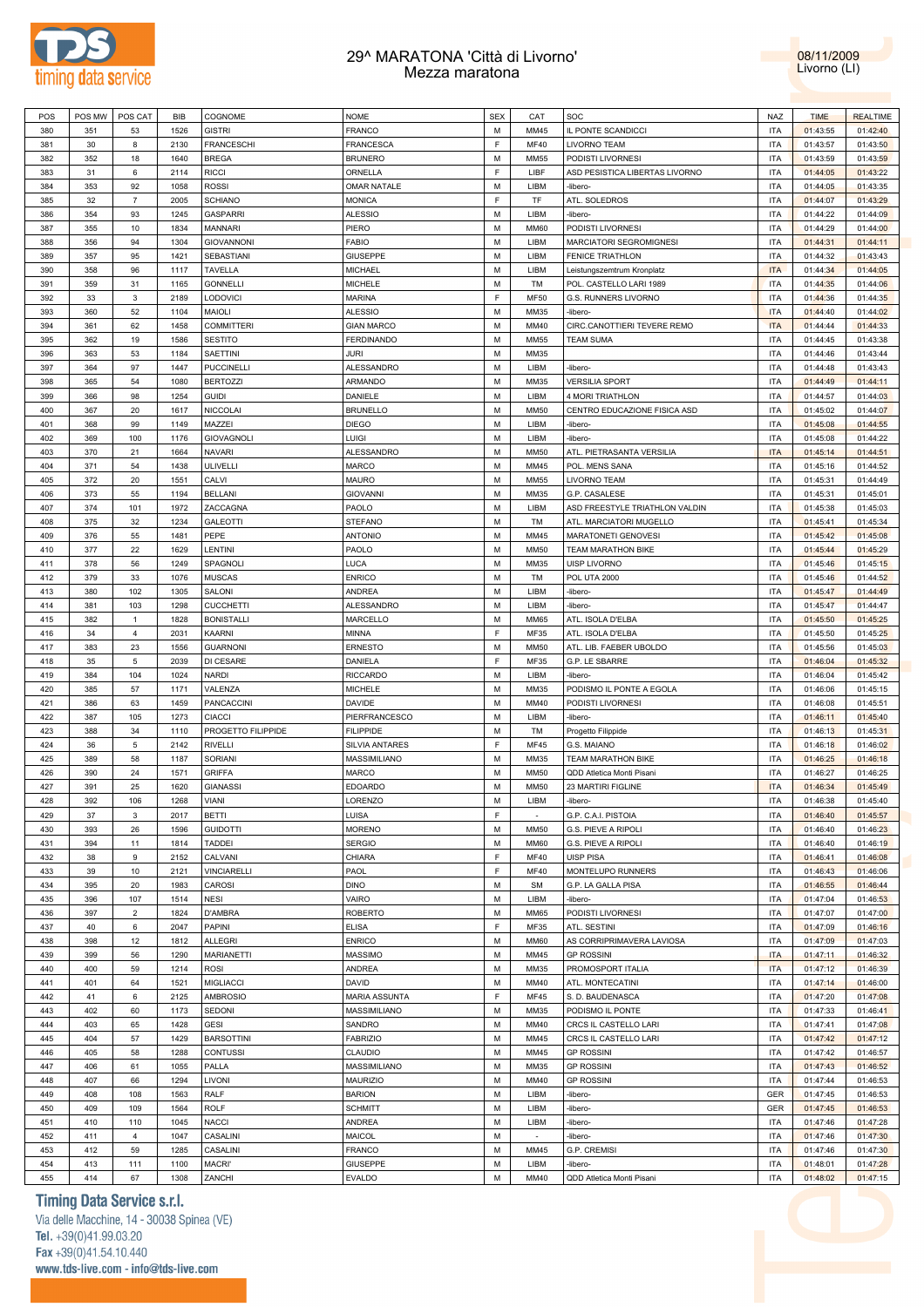



| POS        | POS MW     | POS CAT        | BIB          | COGNOME            | <b>NOME</b>                      | <b>SEX</b>  | CAT          | SOC                                   | NAZ                      | <b>TIME</b>          | <b>REALTIME</b>      |
|------------|------------|----------------|--------------|--------------------|----------------------------------|-------------|--------------|---------------------------------------|--------------------------|----------------------|----------------------|
| 380        | 351        | 53             | 1526         | <b>GISTRI</b>      | FRANCO                           | M           | MM45         | IL PONTE SCANDICCI                    | <b>ITA</b>               | 01:43:55             | 01:42:40             |
| 381        | 30         | 8              | 2130         | <b>FRANCESCHI</b>  | FRANCESCA                        | E           | MF40         | LIVORNO TEAM                          | <b>ITA</b>               | 01:43:57             | 01:43:50             |
| 382        | 352        | 18             | 1640         | <b>BREGA</b>       | <b>BRUNERO</b>                   | M           | <b>MM55</b>  | PODISTI LIVORNESI                     | <b>ITA</b>               | 01:43:59             | 01:43:59             |
| 383        | 31         | 6              | 2114         | <b>RICCI</b>       | ORNELLA                          | E           | LIBF         | ASD PESISTICA LIBERTAS LIVORNO        | <b>ITA</b>               | 01:44:05             | 01:43:22             |
| 384        |            | 92             |              |                    | <b>OMAR NATALE</b>               | M           | LIBM         | -libero-                              | <b>ITA</b>               |                      |                      |
|            | 353        |                | 1058         | <b>ROSSI</b>       |                                  |             |              |                                       |                          | 01:44:05             | 01:43:35             |
| 385        | 32         | $\overline{7}$ | 2005         | <b>SCHIANO</b>     | <b>MONICA</b>                    | E           | TF           | ATL. SOLEDROS                         | <b>ITA</b>               | 01:44:07             | 01:43:29             |
| 386        | 354        | 93             | 1245         | <b>GASPARRI</b>    | <b>ALESSIO</b>                   | M           | LIBM         | -libero-                              | <b>ITA</b>               | 01:44:22             | 01:44:09             |
| 387        | 355        | 10             | 1834         | <b>MANNARI</b>     | PIERO                            | M           | <b>MM60</b>  | PODISTI LIVORNESI                     | <b>ITA</b>               | 01:44:29             | 01:44:00             |
| 388        | 356        | 94             | 1304         | <b>GIOVANNONI</b>  | FABIO                            | M           | LIBM         | <b>MARCIATORI SEGROMIGNESI</b>        | <b>ITA</b>               | 01:44:31             | 01:44:11             |
| 389        | 357        | 95             | 1421         | SEBASTIANI         | <b>GIUSEPPE</b>                  | M           | LIBM         | <b>FENICE TRIATHLON</b>               | <b>ITA</b>               | 01:44:32             | 01:43:43             |
| 390        | 358        | 96             | 1117         | <b>TAVELLA</b>     | MICHAEL                          | M           | LIBM         | Leistungszemtrum Kronplatz            | <b>ITA</b>               | 01:44:34             | 01:44:05             |
| 391        | 359        | 31             | 1165         | <b>GONNELLI</b>    | <b>MICHELE</b>                   | M           | TM           | POL. CASTELLO LARI 1989               | <b>ITA</b>               | 01:44:35             | 01:44:06             |
| 392        | 33         | 3              | 2189         | LODOVICI           | MARINA                           | F           | <b>MF50</b>  | G.S. RUNNERS LIVORNO                  | <b>ITA</b>               | 01:44:36             | 01:44:35             |
| 393        | 360        | 52             | 1104         | MAIOLI             | ALESSIO                          | M           | MM35         | -libero-                              | <b>ITA</b>               | 01:44:40             | 01:44:02             |
|            |            |                |              |                    |                                  |             |              |                                       |                          |                      |                      |
| 394        | 361        | 62             | 1458         | <b>COMMITTERI</b>  | <b>GIAN MARCO</b>                | M           | MM40         | CIRC.CANOTTIERI TEVERE REMO           | <b>ITA</b>               | 01:44:44             | 01:44:33             |
| 395        | 362        | 19             | 1586         | <b>SESTITO</b>     | <b>FERDINANDO</b>                | M           | <b>MM55</b>  | <b>TEAM SUMA</b>                      | <b>ITA</b>               | 01:44:45             | 01:43:38             |
| 396        | 363        | 53             | 1184         | SAETTINI           | <b>JURI</b>                      | M           | MM35         |                                       | <b>ITA</b>               | 01:44:46             | 01:43:44             |
| 397        | 364        | 97             | 1447         | <b>PUCCINELLI</b>  | ALESSANDRO                       | M           | LIBM         | -libero-                              | <b>ITA</b>               | 01:44:48             | 01:43:43             |
| 398        | 365        | 54             | 1080         | <b>BERTOZZI</b>    | ARMANDO                          | M           | MM35         | <b>VERSILIA SPORT</b>                 | <b>ITA</b>               | 01:44:49             | 01:44:11             |
| 399        | 366        | 98             | 1254         | <b>GUIDI</b>       | DANIELE                          | M           | LIBM         | 4 MORI TRIATHLON                      | <b>ITA</b>               | 01:44:57             | 01:44:03             |
| 400        | 367        | 20             | 1617         | <b>NICCOLAI</b>    | <b>BRUNELLO</b>                  | M           | <b>MM50</b>  | CENTRO EDUCAZIONE FISICA ASD          | <b>ITA</b>               | 01:45:02             | 01:44:07             |
| 401        | 368        | 99             | 1149         | MAZZEI             | <b>DIEGO</b>                     | M           | LIBM         | -libero-                              | <b>ITA</b>               | 01:45:08             | 01:44:55             |
| 402        | 369        | 100            | 1176         | <b>GIOVAGNOLI</b>  | LUIGI                            | M           | LIBM         | -libero-                              | <b>ITA</b>               | 01:45:08             | 01:44:22             |
| 403        | 370        | 21             | 1664         | <b>NAVARI</b>      | ALESSANDRO                       | M           | <b>MM50</b>  | ATL. PIETRASANTA VERSILIA             | <b>ITA</b>               | 01:45:14             | 01:44:51             |
|            |            |                |              | ULIVELLI           |                                  | M           |              | POL. MENS SANA                        |                          |                      |                      |
| 404        | 371        | 54             | 1438         |                    | MARCO                            |             | MM45         |                                       | <b>ITA</b>               | 01:45:16             | 01:44:52             |
| 405        | 372        | 20             | 1551         | CALVI              | MAURO                            | M           | <b>MM55</b>  | LIVORNO TEAM                          | <b>ITA</b>               | 01:45:31             | 01:44:49             |
| 406        | 373        | 55             | 1194         | <b>BELLANI</b>     | <b>GIOVANNI</b>                  | M           | MM35         | G.P. CASALESE                         | <b>ITA</b>               | 01:45:31             | 01:45:01             |
| 407        | 374        | 101            | 1972         | ZACCAGNA           | PAOLO                            | M           | LIBM         | ASD FREESTYLE TRIATHLON VALDIN        | <b>ITA</b>               | 01:45:38             | 01:45:03             |
| 408        | 375        | 32             | 1234         | <b>GALEOTTI</b>    | <b>STEFANO</b>                   | M           | TM           | ATL. MARCIATORI MUGELLO               | <b>ITA</b>               | 01:45:41             | 01:45:34             |
| 409        | 376        | 55             | 1481         | PEPE               | <b>ANTONIO</b>                   | M           | MM45         | MARATONETI GENOVESI                   | <b>ITA</b>               | 01:45:42             | 01:45:08             |
| 410        | 377        | 22             | 1629         | LENTINI            | PAOLO                            | M           | <b>MM50</b>  | TEAM MARATHON BIKE                    | <b>ITA</b>               | 01:45:44             | 01:45:29             |
| 411        | 378        | 56             | 1249         | SPAGNOLI           | LUCA                             | M           | MM35         | UISP LIVORNO                          | <b>ITA</b>               | 01:45:46             | 01:45:15             |
| 412        | 379        | 33             | 1076         | <b>MUSCAS</b>      | <b>ENRICO</b>                    | M           | TM           | <b>POL UTA 2000</b>                   | <b>ITA</b>               | 01:45:46             | 01:44:52             |
| 413        | 380        | 102            | 1305         | SALONI             | ANDREA                           | M           | LIBM         | -libero-                              | <b>ITA</b>               | 01:45:47             | 01:44:49             |
|            |            |                |              |                    |                                  |             |              |                                       |                          |                      |                      |
| 414        | 381        | 103            | 1298         | <b>CUCCHETTI</b>   | ALESSANDRO                       | M           | LIBM         | -libero-                              | <b>ITA</b>               | 01:45:47             | 01:44:47             |
| 415        | 382        | $\mathbf{1}$   | 1828         | <b>BONISTALLI</b>  | MARCELLO                         | M           | <b>MM65</b>  | ATL. ISOLA D'ELBA                     | <b>ITA</b>               | 01:45:50             | 01:45:25             |
| 416        | 34         | $\overline{4}$ | 2031         | KAARNI             | MINNA                            | $\mathsf F$ | MF35         | ATL. ISOLA D'ELBA                     | <b>ITA</b>               | 01:45:50             | 01:45:25             |
| 417        | 383        | 23             | 1556         | <b>GUARNONI</b>    | ERNESTO                          | M           | <b>MM50</b>  | ATL. LIB. FAEBER UBOLDO               | <b>ITA</b>               | 01:45:56             | 01:45:03             |
| 418        | 35         | 5              | 2039         | DI CESARE          | DANIELA                          | E           | MF35         | G.P. LE SBARRE                        | <b>ITA</b>               | 01:46:04             | 01:45:32             |
| 419        | 384        | 104            | 1024         | <b>NARDI</b>       | <b>RICCARDO</b>                  | M           | LIBM         | -libero-                              | <b>ITA</b>               | 01:46:04             | 01:45:42             |
| 420        | 385        | 57             | 1171         | VALENZA            | <b>MICHELE</b>                   | M           | MM35         | PODISMO IL PONTE A EGOLA              | <b>ITA</b>               | 01:46:06             | 01:45:15             |
| 421        | 386        | 63             | 1459         | <b>PANCACCINI</b>  | <b>DAVIDE</b>                    | M           | MM40         | PODISTI LIVORNESI                     | <b>ITA</b>               | 01:46:08             | 01:45:51             |
| 422        | 387        | 105            | 1273         | <b>CIACCI</b>      | PIERFRANCESCO                    | M           | LIBM         | -libero-                              | <b>ITA</b>               | 01:46:11             | 01:45:40             |
| 423        | 388        | 34             | 1110         | PROGETTO FILIPPIDE | <b>FILIPPIDE</b>                 | M           | TM           | Progetto Filippide                    | <b>ITA</b>               | 01:46:13             | 01:45:31             |
| 424        | 36         | 5              |              | <b>RIVELLI</b>     | SILVIA ANTARES                   | F           |              |                                       |                          |                      | 01:46:02             |
|            |            |                |              |                    |                                  |             |              |                                       |                          |                      |                      |
| 425        |            |                | 2142         |                    |                                  |             | <b>MF45</b>  | G.S. MAIANO                           | <b>ITA</b>               | 01:46:18             |                      |
| 426        | 389        | 58             | 1187         | <b>SORIANI</b>     | MASSIMILIANO                     | M           | MM35         | TEAM MARATHON BIKE                    | <b>ITA</b>               | 01:46:25             | 01:46:18             |
|            | 390        | 24             | 1571         | <b>GRIFFA</b>      | MARCO                            | M           | <b>MM50</b>  | QDD Atletica Monti Pisani             | <b>ITA</b>               | 01:46:27             | 01:46:25             |
| 427        | 391        | 25             | 1620         | <b>GIANASSI</b>    | <b>EDOARDO</b>                   | M           | <b>MM50</b>  | 23 MARTIRI FIGLINE                    | <b>ITA</b>               | 01:46:34             | 01:45:49             |
| 428        | 392        | 106            | 1268         | VIANI              | LORENZO                          | M           | LIBM         | -libero-                              | <b>ITA</b>               | 01:46:38             | 01:45:40             |
| 429        | 37         | 3              | 2017         | <b>BETTI</b>       | LUISA                            | F           | $\sim$       | G.P. C.A.I. PISTOIA                   | <b>ITA</b>               | 01:46:40             | 01:45:57             |
| 430        | 393        | 26             | 1596         | <b>GUIDOTTI</b>    | <b>MORENO</b>                    | M           | <b>MM50</b>  | G.S. PIEVE A RIPOLI                   | <b>ITA</b>               | 01:46:40             | 01:46:23             |
| 431        | 394        | 11             | 1814         | <b>TADDEI</b>      | <b>SERGIO</b>                    | М           | <b>MM60</b>  | G.S. PIEVE A RIPOLI                   | <b>ITA</b>               | 01:46:40             | 01:46:19             |
|            |            | 9              |              | CALVANI            | CHIARA                           | F           | <b>MF40</b>  | <b>UISP PISA</b>                      | <b>ITA</b>               |                      |                      |
| 432        | 38         |                | 2152         |                    |                                  |             |              |                                       |                          | 01:46:41             | 01:46:08             |
| 433        | 39         | 10             | 2121         | <b>VINCIARELLI</b> | PAOL                             | E           | <b>MF40</b>  | MONTELUPO RUNNERS                     | <b>ITA</b>               | 01:46:43             | 01:46:06             |
| 434        | 395        | 20             | 1983         | <b>CAROSI</b>      | <b>DINO</b>                      | M           | <b>SM</b>    | G.P. LA GALLA PISA                    | <b>ITA</b>               | 01:46:55             | 01:46:44             |
| 435        | 396        | 107            | 1514         | <b>NESI</b>        | VAIRO                            | M           | LIBM         | -libero-                              | <b>ITA</b>               | 01:47:04             | 01:46:53             |
| 436        | 397        | $\overline{2}$ | 1824         | D'AMBRA            | <b>ROBERTO</b>                   | M           | <b>MM65</b>  | PODISTI LIVORNESI                     | <b>ITA</b>               | 01:47:07             | 01:47:00             |
| 437        | 40         | 6              | 2047         | <b>PAPINI</b>      | <b>ELISA</b>                     | E           | <b>MF35</b>  | ATL. SESTINI                          | <b>ITA</b>               | 01:47:09             | 01:46:16             |
| 438        | 398        | 12             | 1812         | <b>ALLEGRI</b>     | <b>ENRICO</b>                    | M           | <b>MM60</b>  | AS CORRIPRIMAVERA LAVIOSA             | <b>ITA</b>               | 01:47:09             | 01:47:03             |
| 439        | 399        | 56             | 1290         | <b>MARIANETTI</b>  | <b>MASSIMO</b>                   | M           | MM45         | <b>GP ROSSINI</b>                     | <b>ITA</b>               | 01:47:11             | 01:46:32             |
| 440        | 400        | 59             | 1214         | <b>ROSI</b>        | ANDREA                           | M           | MM35         | PROMOSPORT ITALIA                     | <b>ITA</b>               | 01:47:12             | 01:46:39             |
| 441        | 401        | 64             | 1521         | <b>MIGLIACCI</b>   | DAVID                            | M           | MM40         | ATL. MONTECATINI                      | <b>ITA</b>               | 01:47:14             | 01:46:00             |
| 442        | 41         | 6              |              | <b>AMBROSIO</b>    |                                  | F           | <b>MF45</b>  |                                       |                          |                      |                      |
|            |            |                | 2125         |                    | <b>MARIA ASSUNTA</b>             |             |              | S. D. BAUDENASCA                      | <b>ITA</b>               | 01:47:20             | 01:47:08             |
| 443        | 402        | 60             | 1173         | SEDONI             | MASSIMILIANO                     | M           | MM35         | PODISMO IL PONTE                      | <b>ITA</b>               | 01:47:33             | 01:46:41             |
| 444        | 403        | 65             | 1428         | <b>GESI</b>        | SANDRO                           | M           | MM40         | CRCS IL CASTELLO LARI                 | <b>ITA</b>               | 01:47:41             | 01:47:08             |
| 445        | 404        | 57             | 1429         | <b>BARSOTTINI</b>  | <b>FABRIZIO</b>                  | М           | MM45         | CRCS IL CASTELLO LARI                 | <b>ITA</b>               | 01:47:42             | 01:47:12             |
| 446        | 405        | 58             | 1288         | <b>CONTUSSI</b>    | CLAUDIO                          | M           | MM45         | <b>GP ROSSINI</b>                     | <b>ITA</b>               | 01:47:42             | 01:46:57             |
| 447        | 406        | 61             | 1055         | PALLA              | MASSIMILIANO                     | M           | MM35         | <b>GP ROSSINI</b>                     | <b>ITA</b>               | 01:47:43             | 01:46:52             |
| 448        | 407        | 66             | 1294         | LIVONI             | <b>MAURIZIO</b>                  | M           | MM40         | <b>GP ROSSINI</b>                     | <b>ITA</b>               | 01:47:44             | 01:46:53             |
| 449        | 408        | 108            | 1563         | RALF               | <b>BARION</b>                    | M           | LIBM         | -libero-                              | GER                      | 01:47:45             | 01:46:53             |
| 450        | 409        | 109            | 1564         | <b>ROLF</b>        | <b>SCHMITT</b>                   | M           | LIBM         | -libero-                              | GER                      | 01:47:45             | 01:46:53             |
| 451        | 410        | 110            | 1045         | <b>NACCI</b>       | ANDREA                           | М           | LIBM         | -libero-                              | <b>ITA</b>               | 01:47:46             | 01:47:28             |
|            |            |                |              |                    |                                  |             | $\sim$       |                                       |                          |                      |                      |
| 452        | 411        | $\overline{4}$ | 1047         | CASALINI           | MAICOL                           | M           |              | -libero-                              | <b>ITA</b>               | 01:47:46             | 01:47:30             |
| 453        | 412        | 59             | 1285         | CASALINI           | FRANCO                           | М           | MM45         | G.P. CREMISI                          | <b>ITA</b>               | 01:47:46             | 01:47:30             |
| 454<br>455 | 413<br>414 | 111<br>67      | 1100<br>1308 | MACRI'<br>ZANCHI   | <b>GIUSEPPE</b><br><b>EVALDO</b> | M<br>M      | LIBM<br>MM40 | -libero-<br>QDD Atletica Monti Pisani | <b>ITA</b><br><b>ITA</b> | 01:48:01<br>01:48:02 | 01:47:28<br>01:47:15 |

# **Timing Data Service s.r.l.**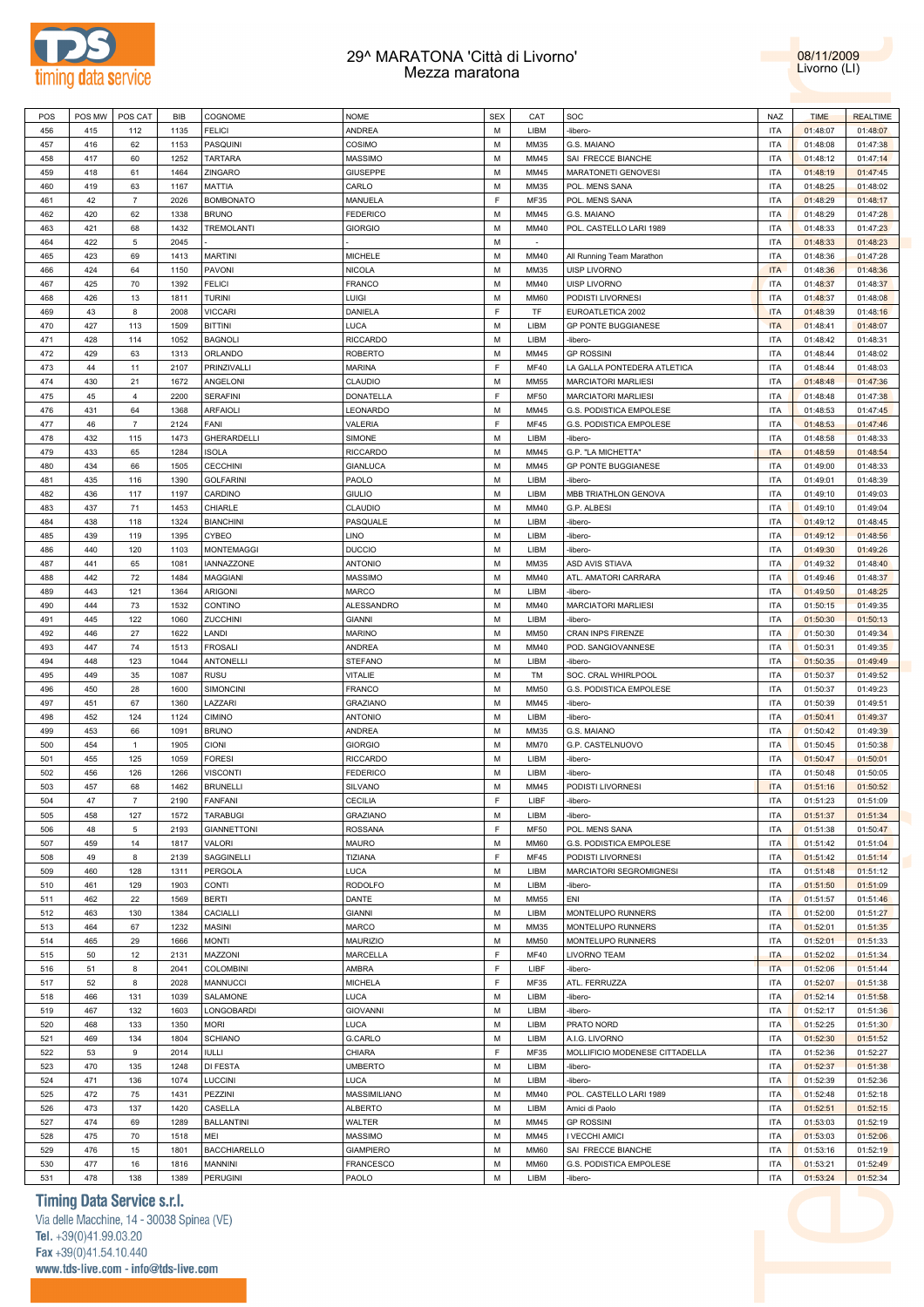



| POS | POS MW | POS CAT        | <b>BIB</b> | COGNOME             | <b>NOME</b>      | <b>SEX</b>  | CAT         | SOC                            | <b>NAZ</b> | <b>TIME</b> | <b>REALTIME</b> |
|-----|--------|----------------|------------|---------------------|------------------|-------------|-------------|--------------------------------|------------|-------------|-----------------|
|     |        |                |            |                     |                  | M           |             |                                |            |             |                 |
| 456 | 415    | 112            | 1135       | <b>FELICI</b>       | <b>ANDREA</b>    |             | LIBM        | -libero-                       | <b>ITA</b> | 01:48:07    | 01:48:07        |
| 457 | 416    | 62             | 1153       | PASQUINI            | COSIMO           | М           | MM35        | G.S. MAIANO                    | ITA        | 01:48:08    | 01:47:38        |
| 458 | 417    | 60             | 1252       | <b>TARTARA</b>      | <b>MASSIMO</b>   | M           | MM45        | SAI FRECCE BIANCHE             | <b>ITA</b> | 01:48:12    | 01:47:14        |
| 459 | 418    | 61             | 1464       | ZINGARO             | <b>GIUSEPPE</b>  | М           | MM45        | <b>MARATONETI GENOVESI</b>     | ITA        | 01:48:19    | 01:47:45        |
| 460 | 419    | 63             | 1167       | MATTIA              | CARLO            | М           | MM35        | POL. MENS SANA                 | <b>ITA</b> | 01:48:25    | 01:48:02        |
| 461 | 42     | $\overline{7}$ | 2026       | <b>BOMBONATO</b>    | MANUELA          | F           | MF35        | POL. MENS SANA                 | ITA        | 01:48:29    | 01:48:17        |
|     |        |                |            |                     |                  |             |             |                                |            |             |                 |
| 462 | 420    | 62             | 1338       | <b>BRUNO</b>        | <b>FEDERICO</b>  | М           | MM45        | G.S. MAIANO                    | <b>ITA</b> | 01:48:29    | 01:47:28        |
| 463 | 421    | 68             | 1432       | <b>TREMOLANTI</b>   | <b>GIORGIO</b>   | М           | MM40        | POL. CASTELLO LARI 1989        | <b>ITA</b> | 01:48:33    | 01:47:23        |
| 464 | 422    | 5              | 2045       |                     |                  | M           | $\sim$      |                                | <b>ITA</b> | 01:48:33    | 01:48:23        |
| 465 | 423    | 69             | 1413       | <b>MARTINI</b>      | <b>MICHELE</b>   | M           | MM40        | All Running Team Marathon      | <b>ITA</b> | 01:48:36    | 01:47:28        |
| 466 | 424    | 64             | 1150       | PAVONI              | <b>NICOLA</b>    | M           | MM35        | UISP LIVORNO                   | <b>ITA</b> | 01:48:36    | 01:48:36        |
|     |        |                |            |                     |                  |             |             |                                |            |             |                 |
| 467 | 425    | 70             | 1392       | <b>FELICI</b>       | <b>FRANCO</b>    | M           | MM40        | UISP LIVORNO                   | <b>ITA</b> | 01:48:37    | 01:48:37        |
| 468 | 426    | 13             | 1811       | <b>TURINI</b>       | LUIGI            | M           | <b>MM60</b> | PODISTI LIVORNESI              | <b>ITA</b> | 01:48:37    | 01:48:08        |
| 469 | 43     | 8              | 2008       | <b>VICCARI</b>      | DANIELA          | F           | TF          | EUROATLETICA 2002              | <b>ITA</b> | 01:48:39    | 01:48:16        |
| 470 | 427    | 113            | 1509       | <b>BITTINI</b>      | LUCA             | М           | LIBM        | <b>GP PONTE BUGGIANESE</b>     | <b>ITA</b> | 01:48:41    | 01:48:07        |
| 471 | 428    | 114            | 1052       | <b>BAGNOLI</b>      | <b>RICCARDO</b>  | M           | LIBM        | -libero-                       | <b>ITA</b> | 01:48:42    | 01:48:31        |
|     |        |                |            |                     |                  |             |             |                                |            |             |                 |
| 472 | 429    | 63             | 1313       | ORLANDO             | <b>ROBERTO</b>   | М           | MM45        | <b>GP ROSSINI</b>              | <b>ITA</b> | 01:48:44    | 01:48:02        |
| 473 | 44     | 11             | 2107       | PRINZIVALLI         | <b>MARINA</b>    | F           | MF40        | LA GALLA PONTEDERA ATLETICA    | <b>ITA</b> | 01:48:44    | 01:48:03        |
| 474 | 430    | 21             | 1672       | ANGELONI            | CLAUDIO          | М           | MM55        | <b>MARCIATORI MARLIESI</b>     | <b>ITA</b> | 01:48:48    | 01:47:36        |
| 475 | 45     | 4              | 2200       | <b>SERAFINI</b>     | DONATELLA        | F           | <b>MF50</b> | <b>MARCIATORI MARLIESI</b>     | <b>ITA</b> | 01:48:48    | 01:47:38        |
| 476 | 431    | 64             | 1368       | <b>ARFAIOLI</b>     | LEONARDO         | М           | MM45        | G.S. PODISTICA EMPOLESE        | <b>ITA</b> | 01:48:53    | 01:47:45        |
|     |        |                |            |                     |                  |             |             |                                |            |             |                 |
| 477 | 46     | $\overline{7}$ | 2124       | FANI                | VALERIA          | F           | MF45        | G.S. PODISTICA EMPOLESE        | <b>ITA</b> | 01:48:53    | 01:47:46        |
| 478 | 432    | 115            | 1473       | GHERARDELLI         | SIMONE           | M           | LIBM        | -libero-                       | <b>ITA</b> | 01:48:58    | 01:48:33        |
| 479 | 433    | 65             | 1284       | <b>ISOLA</b>        | <b>RICCARDO</b>  | M           | MM45        | G.P. "LA MICHETTA"             | <b>ITA</b> | 01:48:59    | 01:48:54        |
| 480 | 434    | 66             | 1505       | <b>CECCHINI</b>     | <b>GIANLUCA</b>  | M           | MM45        | <b>GP PONTE BUGGIANESE</b>     | <b>ITA</b> | 01:49:00    | 01:48:33        |
| 481 | 435    | 116            | 1390       | <b>GOLFARINI</b>    | PAOLO            | M           | LIBM        | -libero-                       | <b>ITA</b> | 01:49:01    | 01:48:39        |
|     |        |                |            |                     |                  |             |             |                                |            |             |                 |
| 482 | 436    | 117            | 1197       | CARDINO             | <b>GIULIO</b>    | M           | LIBM        | MBB TRIATHLON GENOVA           | <b>ITA</b> | 01:49:10    | 01:49:03        |
| 483 | 437    | 71             | 1453       | CHIARLE             | <b>CLAUDIO</b>   | М           | MM40        | G.P. ALBESI                    | <b>ITA</b> | 01:49:10    | 01:49:04        |
| 484 | 438    | 118            | 1324       | <b>BIANCHINI</b>    | PASQUALE         | M           | LIBM        | -libero-                       | <b>ITA</b> | 01:49:12    | 01:48:45        |
| 485 | 439    | 119            | 1395       | CYBEO               | <b>LINO</b>      | М           | LIBM        | -libero-                       | ITA        | 01:49:12    | 01:48:56        |
| 486 | 440    | 120            | 1103       | <b>MONTEMAGGI</b>   | <b>DUCCIO</b>    | M           | LIBM        | -libero-                       | <b>ITA</b> | 01:49:30    | 01:49:26        |
|     |        |                |            |                     |                  |             |             |                                |            |             |                 |
| 487 | 441    | 65             | 1081       | IANNAZZONE          | <b>ANTONIO</b>   | М           | MM35        | ASD AVIS STIAVA                | <b>ITA</b> | 01:49:32    | 01:48:40        |
| 488 | 442    | 72             | 1484       | <b>MAGGIANI</b>     | <b>MASSIMO</b>   | M           | MM40        | ATL. AMATORI CARRARA           | <b>ITA</b> | 01:49:46    | 01:48:37        |
| 489 | 443    | 121            | 1364       | <b>ARIGONI</b>      | MARCO            | M           | LIBM        | -libero-                       | <b>ITA</b> | 01:49:50    | 01:48:25        |
| 490 | 444    | 73             | 1532       | CONTINO             | ALESSANDRO       | M           | MM40        | <b>MARCIATORI MARLIESI</b>     | <b>ITA</b> | 01:50:15    | 01:49:35        |
| 491 | 445    | 122            | 1060       | <b>ZUCCHINI</b>     | <b>GIANNI</b>    | M           | LIBM        | -libero-                       | <b>ITA</b> | 01:50:30    | 01:50:13        |
|     |        |                |            |                     |                  | M           |             |                                |            |             |                 |
| 492 | 446    | 27             | 1622       | LANDI               | <b>MARINO</b>    |             | <b>MM50</b> | CRAN INPS FIRENZE              | <b>ITA</b> | 01:50:30    | 01:49:34        |
| 493 | 447    | 74             | 1513       | <b>FROSALI</b>      | <b>ANDREA</b>    | M           | MM40        | POD. SANGIOVANNESE             | <b>ITA</b> | 01:50:31    | 01:49:35        |
| 494 | 448    | 123            | 1044       | <b>ANTONELLI</b>    | <b>STEFANO</b>   | M           | LIBM        | -libero-                       | <b>ITA</b> | 01:50:35    | 01:49:49        |
| 495 | 449    | 35             | 1087       | <b>RUSU</b>         | VITALIE          | М           | TM          | SOC. CRAL WHIRLPOOL            | <b>ITA</b> | 01:50:37    | 01:49:52        |
| 496 | 450    | 28             | 1600       | SIMONCINI           | <b>FRANCO</b>    | M           | <b>MM50</b> | G.S. PODISTICA EMPOLESE        | <b>ITA</b> | 01:50:37    | 01:49:23        |
| 497 | 451    | 67             | 1360       | LAZZARI             |                  | М           |             |                                | <b>ITA</b> |             |                 |
|     |        |                |            |                     | <b>GRAZIANO</b>  |             | MM45        | -libero-                       |            | 01:50:39    | 01:49:51        |
| 498 | 452    | 124            | 1124       | <b>CIMINO</b>       | <b>ANTONIO</b>   | M           | LIBM        | -libero-                       | <b>ITA</b> | 01:50:41    | 01:49:37        |
| 499 | 453    | 66             | 1091       | <b>BRUNO</b>        | ANDREA           | М           | MM35        | G.S. MAIANO                    | <b>ITA</b> | 01:50:42    | 01:49:39        |
| 500 | 454    | $\overline{1}$ | 1905       | <b>CIONI</b>        | <b>GIORGIO</b>   | M           | <b>MM70</b> | G.P. CASTELNUOVO               | <b>ITA</b> | 01:50:45    | 01:50:38        |
| 501 | 455    | 125            | 1059       | <b>FORESI</b>       | <b>RICCARDO</b>  | М           | LIBM        | -libero-                       | ITA        | 01:50:47    | 01:50:01        |
| 502 | 456    | 126            | 1266       | <b>VISCONTI</b>     | <b>FEDERICO</b>  | M           | LIBM        | -libero-                       | <b>ITA</b> | 01:50:48    | 01:50:05        |
|     |        |                |            |                     |                  |             |             |                                |            |             |                 |
| 503 | 457    | 68             | 1462       | <b>BRUNELLI</b>     | SILVANO          | M           | MM45        | PODISTI LIVORNESI              | <b>ITA</b> | 01:51:16    | 01:50:52        |
| 504 | 47     | $\overline{7}$ | 2190       | <b>FANFANI</b>      | CECILIA          | F           | LIBF        | -libero-                       | <b>ITA</b> | 01:51:23    | 01:51:09        |
| 505 | 458    | 127            | 1572       | <b>TARABUGI</b>     | <b>GRAZIANO</b>  | M           | LIBM        | -libero-                       | <b>ITA</b> | 01:51:37    | 01:51:34        |
| 506 | 48     | 5              | 2193       | <b>GIANNETTONI</b>  | <b>ROSSANA</b>   | F           | MF50        | POL. MENS SANA                 | <b>ITA</b> | 01:51:38    | 01:50:47        |
| 507 | 459    | 14             | 1817       | VALORI              | <b>MAURO</b>     | M           | MM60        | G.S. PODISTICA EMPOLESE        | <b>ITA</b> | 01:51:42    | 01:51:04        |
|     |        |                |            |                     |                  | F           |             |                                |            |             |                 |
| 508 | 49     | 8              | 2139       | SAGGINELLI          | TIZIANA          |             | <b>MF45</b> | PODISTI LIVORNESI              | <b>ITA</b> | 01:51:42    | 01:51:14        |
| 509 | 460    | 128            | 1311       | PERGOLA             | <b>LUCA</b>      | M           | LIBM        | MARCIATORI SEGROMIGNESI        | <b>ITA</b> | 01:51:48    | 01:51:12        |
| 510 | 461    | 129            | 1903       | CONTI               | <b>RODOLFO</b>   | М           | LIBM        | -libero-                       | <b>ITA</b> | 01:51:50    | 01:51:09        |
| 511 | 462    | 22             | 1569       | <b>BERTI</b>        | DANTE            | M           | <b>MM55</b> | ENI                            | <b>ITA</b> | 01:51:57    | 01:51:46        |
| 512 | 463    | 130            | 1384       | CACIALLI            | <b>GIANNI</b>    | M           | LIBM        | MONTELUPO RUNNERS              | <b>ITA</b> | 01:52:00    | 01:51:27        |
| 513 | 464    | 67             | 1232       | <b>MASINI</b>       | MARCO            | M           | MM35        | MONTELUPO RUNNERS              | <b>ITA</b> |             | 01:51:35        |
|     |        |                |            |                     |                  |             |             |                                |            | 01:52:01    |                 |
| 514 | 465    | 29             | 1666       | <b>MONTI</b>        | <b>MAURIZIO</b>  | M           | <b>MM50</b> | MONTELUPO RUNNERS              | <b>ITA</b> | 01:52:01    | 01:51:33        |
| 515 | 50     | 12             | 2131       | MAZZONI             | MARCELLA         | F           | MF40        | LIVORNO TEAM                   | <b>ITA</b> | 01:52:02    | 01:51:34        |
| 516 | 51     | 8              | 2041       | <b>COLOMBINI</b>    | AMBRA            | F           | LIBF        | -libero-                       | <b>ITA</b> | 01:52:06    | 01:51:44        |
| 517 | 52     | 8              | 2028       | MANNUCCI            | <b>MICHELA</b>   | $\mathsf F$ | MF35        | ATL. FERRUZZA                  | <b>ITA</b> | 01:52:07    | 01:51:38        |
| 518 | 466    | 131            | 1039       | SALAMONE            | <b>LUCA</b>      | М           | LIBM        | -libero-                       | <b>ITA</b> | 01:52:14    | 01:51:58        |
|     |        |                |            |                     |                  |             |             |                                |            |             |                 |
| 519 | 467    | 132            | 1603       | LONGOBARDI          | <b>GIOVANNI</b>  | M           | LIBM        | -libero-                       | ITA        | 01:52:17    | 01:51:36        |
| 520 | 468    | 133            | 1350       | <b>MORI</b>         | <b>LUCA</b>      | М           | LIBM        | PRATO NORD                     | <b>ITA</b> | 01:52:25    | 01:51:30        |
| 521 | 469    | 134            | 1804       | <b>SCHIANO</b>      | G.CARLO          | M           | LIBM        | A.I.G. LIVORNO                 | <b>ITA</b> | 01:52:30    | 01:51:52        |
| 522 | 53     | 9              | 2014       | <b>IULLI</b>        | CHIARA           | $\mathsf F$ | MF35        | MOLLIFICIO MODENESE CITTADELLA | <b>ITA</b> | 01:52:36    | 01:52:27        |
|     |        |                |            |                     |                  | M           |             |                                |            |             |                 |
| 523 | 470    | 135            | 1248       | <b>DI FESTA</b>     | <b>UMBERTO</b>   |             | LIBM        | -libero-                       | <b>ITA</b> | 01:52:37    | 01:51:38        |
| 524 | 471    | 136            | 1074       | <b>LUCCINI</b>      | LUCA             | M           | LIBM        | -libero-                       | <b>ITA</b> | 01:52:39    | 01:52:36        |
| 525 | 472    | 75             | 1431       | PEZZINI             | MASSIMILIANO     | M           | MM40        | POL. CASTELLO LARI 1989        | <b>ITA</b> | 01:52:48    | 01:52:18        |
| 526 | 473    | 137            | 1420       | CASELLA             | <b>ALBERTO</b>   | M           | LIBM        | Amici di Paolo                 | <b>ITA</b> | 01:52:51    | 01:52:15        |
| 527 | 474    | 69             | 1289       | <b>BALLANTINI</b>   | WALTER           | M           | MM45        | <b>GP ROSSINI</b>              | <b>ITA</b> | 01:53:03    | 01:52:19        |
| 528 | 475    |                |            |                     |                  | M           |             |                                |            |             |                 |
|     |        | 70             | 1518       | MEI                 | MASSIMO          |             | MM45        | I VECCHI AMICI                 | <b>ITA</b> | 01:53:03    | 01:52:06        |
| 529 | 476    | 15             | 1801       | <b>BACCHIARELLO</b> | <b>GIAMPIERO</b> | M           | <b>MM60</b> | SAI FRECCE BIANCHE             | <b>ITA</b> | 01:53:16    | 01:52:19        |
| 530 | 477    | 16             | 1816       | MANNINI             | <b>FRANCESCO</b> | М           | <b>MM60</b> | G.S. PODISTICA EMPOLESE        | <b>ITA</b> | 01:53:21    | 01:52:49        |
| 531 | 478    | 138            | 1389       | <b>PERUGINI</b>     | PAOLO            | М           | LIBM        | -libero-                       | ITA        | 01:53:24    | 01:52:34        |
|     |        |                |            |                     |                  |             |             |                                |            |             |                 |

# **Timing Data Service s.r.l.**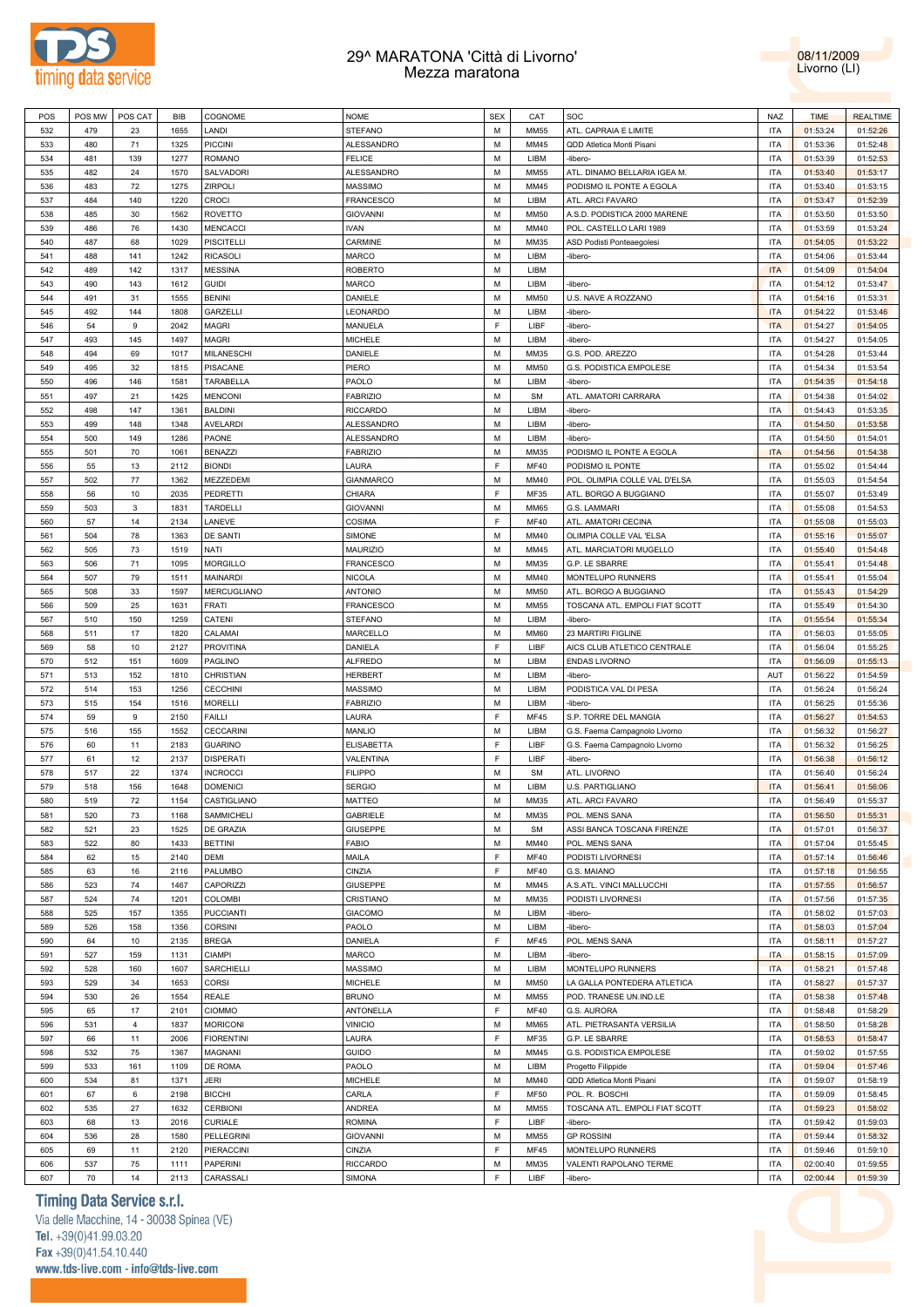



| POS | POS MW | POS CAT        | <b>BIB</b> | COGNOME           | <b>NOME</b>       | <b>SEX</b>  | CAT         | SOC                            | <b>NAZ</b> | <b>TIME</b> | <b>REALTIME</b> |
|-----|--------|----------------|------------|-------------------|-------------------|-------------|-------------|--------------------------------|------------|-------------|-----------------|
|     |        |                |            |                   |                   |             |             |                                |            |             |                 |
| 532 | 479    | 23             | 1655       | LANDI             | <b>STEFANO</b>    | М           | <b>MM55</b> | ATL. CAPRAIA E LIMITE          | <b>ITA</b> | 01:53:24    | 01:52:26        |
| 533 | 480    | 71             | 1325       | <b>PICCINI</b>    | ALESSANDRO        | M           | MM45        | QDD Atletica Monti Pisani      | <b>ITA</b> | 01:53:36    | 01:52:48        |
| 534 | 481    | 139            | 1277       | <b>ROMANO</b>     | <b>FELICE</b>     | M           | LIBM        | -libero-                       | <b>ITA</b> | 01:53:39    | 01:52:53        |
| 535 | 482    | 24             | 1570       | SALVADORI         | ALESSANDRO        | M           | <b>MM55</b> | ATL. DINAMO BELLARIA IGEA M.   | <b>ITA</b> | 01:53:40    | 01:53:17        |
| 536 | 483    | 72             | 1275       | ZIRPOLI           | <b>MASSIMO</b>    | M           | MM45        | PODISMO IL PONTE A EGOLA       | <b>ITA</b> | 01:53:40    | 01:53:15        |
|     |        |                |            |                   |                   |             |             |                                |            |             |                 |
| 537 | 484    | 140            | 1220       | <b>CROCI</b>      | <b>FRANCESCO</b>  | M           | LIBM        | ATL. ARCI FAVARO               | <b>ITA</b> | 01:53:47    | 01:52:39        |
| 538 | 485    | 30             | 1562       | <b>ROVETTO</b>    | <b>GIOVANNI</b>   | M           | <b>MM50</b> | A.S.D. PODISTICA 2000 MARENE   | <b>ITA</b> | 01:53:50    | 01:53:50        |
| 539 | 486    | 76             | 1430       | <b>MENCACCI</b>   | <b>IVAN</b>       | M           | MM40        | POL. CASTELLO LARI 1989        | <b>ITA</b> | 01:53:59    | 01:53:24        |
| 540 | 487    | 68             | 1029       | <b>PISCITELLI</b> | CARMINE           | M           | MM35        | ASD Podisti Ponteaegolesi      | <b>ITA</b> | 01:54:05    | 01:53:22        |
| 541 | 488    | 141            | 1242       | <b>RICASOLI</b>   | <b>MARCO</b>      | M           | LIBM        | -libero-                       | <b>ITA</b> | 01:54:06    | 01:53:44        |
|     |        |                |            |                   |                   |             |             |                                |            |             |                 |
| 542 | 489    | 142            | 1317       | <b>MESSINA</b>    | <b>ROBERTO</b>    | M           | LIBM        |                                | <b>ITA</b> | 01:54:09    | 01:54:04        |
| 543 | 490    | 143            | 1612       | <b>GUIDI</b>      | <b>MARCO</b>      | M           | LIBM        | -libero-                       | <b>ITA</b> | 01:54:12    | 01:53:47        |
| 544 | 491    | 31             | 1555       | <b>BENINI</b>     | DANIELE           | М           | <b>MM50</b> | U.S. NAVE A ROZZANO            | <b>ITA</b> | 01:54:16    | 01:53:31        |
| 545 | 492    | 144            | 1808       | GARZELLI          | LEONARDO          | M           | LIBM        | -libero-                       | <b>ITA</b> | 01:54:22    | 01:53:46        |
| 546 | 54     | 9              | 2042       | MAGRI             | MANUELA           | $\mathsf F$ | LIBF        | -libero-                       | <b>ITA</b> | 01:54:27    | 01:54:05        |
|     |        |                |            |                   |                   |             |             |                                |            |             |                 |
| 547 | 493    | 145            | 1497       | <b>MAGRI</b>      | <b>MICHELE</b>    | M           | LIBM        | -libero-                       | <b>ITA</b> | 01:54:27    | 01:54:05        |
| 548 | 494    | 69             | 1017       | MILANESCHI        | DANIELE           | M           | MM35        | G.S. POD. AREZZO               | <b>ITA</b> | 01:54:28    | 01:53:44        |
| 549 | 495    | 32             | 1815       | <b>PISACANE</b>   | PIERO             | M           | <b>MM50</b> | G.S. PODISTICA EMPOLESE        | <b>ITA</b> | 01:54:34    | 01:53:54        |
| 550 | 496    | 146            | 1581       | TARABELLA         | PAOLO             | M           | LIBM        | -libero-                       | <b>ITA</b> | 01:54:35    | 01:54:18        |
| 551 | 497    | 21             | 1425       | <b>MENCONI</b>    | <b>FABRIZIO</b>   | M           | <b>SM</b>   | ATL. AMATORI CARRARA           | <b>ITA</b> | 01:54:38    | 01:54:02        |
|     |        | 147            |            |                   |                   | M           |             |                                |            |             |                 |
| 552 | 498    |                | 1361       | <b>BALDINI</b>    | <b>RICCARDO</b>   |             | LIBM        | -libero-                       | <b>ITA</b> | 01:54:43    | 01:53:35        |
| 553 | 499    | 148            | 1348       | <b>AVELARDI</b>   | ALESSANDRO        | M           | LIBM        | -libero-                       | <b>ITA</b> | 01:54:50    | 01:53:58        |
| 554 | 500    | 149            | 1286       | PAONE             | ALESSANDRO        | M           | LIBM        | -libero-                       | <b>ITA</b> | 01:54:50    | 01:54:01        |
| 555 | 501    | 70             | 1061       | <b>BENAZZI</b>    | <b>FABRIZIO</b>   | M           | MM35        | PODISMO IL PONTE A EGOLA       | <b>ITA</b> | 01:54:56    | 01:54:38        |
| 556 | 55     | 13             | 2112       | <b>BIONDI</b>     | LAURA             | F           | MF40        | PODISMO IL PONTE               | <b>ITA</b> | 01:55:02    | 01:54:44        |
|     |        |                |            |                   |                   |             |             |                                |            |             |                 |
| 557 | 502    | 77             | 1362       | MEZZEDEMI         | <b>GIANMARCO</b>  | М           | MM40        | POL. OLIMPIA COLLE VAL D'ELSA  | <b>ITA</b> | 01:55:03    | 01:54:54        |
| 558 | 56     | 10             | 2035       | PEDRETTI          | CHIARA            | F           | MF35        | ATL. BORGO A BUGGIANO          | <b>ITA</b> | 01:55:07    | 01:53:49        |
| 559 | 503    | 3              | 1831       | TARDELLI          | <b>GIOVANNI</b>   | M           | <b>MM65</b> | G.S. LAMMARI                   | <b>ITA</b> | 01:55:08    | 01:54:53        |
| 560 | 57     | 14             | 2134       | LANEVE            | COSIMA            | F           | <b>MF40</b> | ATL. AMATORI CECINA            | <b>ITA</b> | 01:55:08    | 01:55:03        |
| 561 | 504    | 78             | 1363       | DE SANTI          | SIMONE            | M           | MM40        | OLIMPIA COLLE VAL 'ELSA        | <b>ITA</b> | 01:55:16    | 01:55:07        |
|     |        |                |            |                   |                   |             |             |                                |            |             |                 |
| 562 | 505    | 73             | 1519       | NATI              | <b>MAURIZIO</b>   | M           | MM45        | ATL. MARCIATORI MUGELLO        | <b>ITA</b> | 01:55:40    | 01:54:48        |
| 563 | 506    | 71             | 1095       | <b>MORGILLO</b>   | <b>FRANCESCO</b>  | M           | MM35        | G.P. LE SBARRE                 | <b>ITA</b> | 01:55:41    | 01:54:48        |
| 564 | 507    | 79             | 1511       | MAINARDI          | <b>NICOLA</b>     | M           | MM40        | MONTELUPO RUNNERS              | <b>ITA</b> | 01:55:41    | 01:55:04        |
| 565 | 508    | 33             | 1597       | MERCUGLIANO       | <b>ANTONIO</b>    | M           | <b>MM50</b> | ATL. BORGO A BUGGIANO          | <b>ITA</b> | 01:55:43    | 01:54:29        |
| 566 | 509    | 25             | 1631       | <b>FRATI</b>      | <b>FRANCESCO</b>  | M           | <b>MM55</b> | TOSCANA ATL. EMPOLI FIAT SCOTT | <b>ITA</b> | 01:55:49    | 01:54:30        |
|     |        |                |            |                   |                   |             |             |                                |            |             |                 |
| 567 | 510    | 150            | 1259       | CATENI            | <b>STEFANO</b>    | M           | LIBM        | -libero-                       | <b>ITA</b> | 01:55:54    | 01:55:34        |
| 568 | 511    | 17             | 1820       | CALAMAI           | MARCELLO          | М           | <b>MM60</b> | 23 MARTIRI FIGLINE             | <b>ITA</b> | 01:56:03    | 01:55:05        |
| 569 | 58     | 10             | 2127       | <b>PROVITINA</b>  | DANIELA           | F           | LIBF        | AICS CLUB ATLETICO CENTRALE    | <b>ITA</b> | 01:56:04    | 01:55:25        |
| 570 | 512    | 151            | 1609       | PAGLINO           | <b>ALFREDO</b>    | М           | LIBM        | <b>ENDAS LIVORNO</b>           | <b>ITA</b> | 01:56:09    | 01:55:13        |
| 571 | 513    | 152            | 1810       | CHRISTIAN         | <b>HERBERT</b>    | М           | LIBM        | -libero-                       | AUT        | 01:56:22    | 01:54:59        |
|     |        |                |            |                   |                   |             |             |                                |            |             |                 |
| 572 | 514    | 153            | 1256       | <b>CECCHINI</b>   | <b>MASSIMO</b>    | М           | LIBM        | PODISTICA VAL DI PESA          | <b>ITA</b> | 01:56:24    | 01:56:24        |
| 573 | 515    | 154            | 1516       | <b>MORELLI</b>    | <b>FABRIZIO</b>   | M           | LIBM        | -libero-                       | <b>ITA</b> | 01:56:25    | 01:55:36        |
| 574 | 59     | 9              | 2150       | <b>FAILLI</b>     | LAURA             | $\mathsf F$ | <b>MF45</b> | S.P. TORRE DEL MANGIA          | <b>ITA</b> | 01:56:27    | 01:54:53        |
| 575 | 516    | 155            | 1552       | <b>CECCARINI</b>  | MANLIO            | M           | LIBM        | G.S. Faema Campagnolo Livorno  | <b>ITA</b> | 01:56:32    | 01:56:27        |
| 576 | 60     | 11             | 2183       | <b>GUARINO</b>    | <b>ELISABETTA</b> | F           | LIBF        | G.S. Faema Campagnolo Livorno  | <b>ITA</b> | 01:56:32    | 01:56:25        |
|     |        |                |            |                   |                   | F           |             |                                |            |             |                 |
| 577 | 61     | 12             | 2137       | <b>DISPERATI</b>  | VALENTINA         |             | LIBF        | -libero-                       | <b>ITA</b> | 01:56:38    | 01:56:12        |
| 578 | 517    | 22             | 1374       | <b>INCROCCI</b>   | <b>FILIPPO</b>    | M           | <b>SM</b>   | ATL. LIVORNO                   | <b>ITA</b> | 01:56:40    | 01:56:24        |
| 579 | 518    | 156            | 1648       | <b>DOMENICI</b>   | <b>SERGIO</b>     | M           | LIBM        | U.S. PARTIGLIANO               | <b>ITA</b> | 01:56:41    | 01:56:06        |
| 580 | 519    | 72             | 1154       | CASTIGLIANO       | <b>MATTEO</b>     | M           | MM35        | ATL. ARCI FAVARO               | <b>ITA</b> | 01:56:49    | 01:55:37        |
| 581 | 520    | 73             | 1168       | SAMMICHELI        | <b>GABRIELE</b>   | M           | MM35        | POL. MENS SANA                 | <b>ITA</b> | 01:56:50    | 01:55:31        |
|     |        |                |            |                   |                   | М           | <b>SM</b>   |                                | <b>ITA</b> |             |                 |
| 582 | 521    | 23             | 1525       | DE GRAZIA         | <b>GIUSEPPE</b>   |             |             | ASSI BANCA TOSCANA FIRENZE     |            | 01:57:01    | 01:56:37        |
| 583 | 522    | 80             | 1433       | <b>BETTINI</b>    | <b>FABIO</b>      | M           | MM40        | POL. MENS SANA                 | <b>ITA</b> | 01:57:04    | 01:55:45        |
| 584 | 62     | 15             | 2140       | DEMI              | MAILA             | F           | <b>MF40</b> | PODISTI LIVORNESI              | <b>ITA</b> | 01:57:14    | 01:56:46        |
| 585 | 63     | 16             | 2116       | PALUMBO           | CINZIA            | F           | <b>MF40</b> | G.S. MAIANO                    | <b>ITA</b> | 01:57:18    | 01:56:55        |
| 586 | 523    | 74             | 1467       | CAPORIZZI         | <b>GIUSEPPE</b>   | М           | MM45        | A.S.ATL. VINCI MALLUCCHI       | <b>ITA</b> | 01:57:55    | 01:56:57        |
| 587 | 524    | 74             | 1201       | <b>COLOMBI</b>    | CRISTIANO         | M           | MM35        | PODISTI LIVORNESI              | <b>ITA</b> | 01:57:56    | 01:57:35        |
|     |        |                |            |                   |                   |             |             |                                |            |             |                 |
| 588 | 525    | 157            | 1355       | <b>PUCCIANTI</b>  | <b>GIACOMO</b>    | М           | LIBM        | -libero-                       | <b>ITA</b> | 01:58:02    | 01:57:03        |
| 589 | 526    | 158            | 1356       | <b>CORSINI</b>    | PAOLO             | M           | LIBM        | -libero-                       | <b>ITA</b> | 01:58:03    | 01:57:04        |
| 590 | 64     | 10             | 2135       | <b>BREGA</b>      | DANIELA           | F           | <b>MF45</b> | POL. MENS SANA                 | <b>ITA</b> | 01:58:11    | 01:57:27        |
| 591 | 527    | 159            | 1131       | <b>CIAMPI</b>     | MARCO             | M           | LIBM        | -libero-                       | <b>ITA</b> | 01:58:15    | 01:57:09        |
| 592 | 528    | 160            | 1607       | SARCHIELLI        | <b>MASSIMO</b>    | M           | LIBM        | MONTELUPO RUNNERS              | <b>ITA</b> | 01:58:21    | 01:57:48        |
|     |        |                |            |                   |                   |             |             |                                |            |             |                 |
| 593 | 529    | 34             | 1653       | CORSI             | <b>MICHELE</b>    | M           | <b>MM50</b> | LA GALLA PONTEDERA ATLETICA    | <b>ITA</b> | 01:58:27    | 01:57:37        |
| 594 | 530    | 26             | 1554       | REALE             | <b>BRUNO</b>      | М           | <b>MM55</b> | POD. TRANESE UN.IND.LE         | <b>ITA</b> | 01:58:38    | 01:57:48        |
| 595 | 65     | 17             | 2101       | <b>CIOMMO</b>     | ANTONELLA         | F           | <b>MF40</b> | G.S. AURORA                    | <b>ITA</b> | 01:58:48    | 01:58:29        |
| 596 | 531    | $\overline{4}$ | 1837       | <b>MORICONI</b>   | <b>VINICIO</b>    | М           | <b>MM65</b> | ATL. PIETRASANTA VERSILIA      | <b>ITA</b> | 01:58:50    | 01:58:28        |
| 597 | 66     | 11             | 2006       | <b>FIORENTINI</b> | LAURA             | F           | MF35        | G.P. LE SBARRE                 | <b>ITA</b> | 01:58:53    | 01:58:47        |
|     |        |                |            |                   |                   |             |             |                                |            |             |                 |
| 598 | 532    | 75             | 1367       | MAGNANI           | <b>GUIDO</b>      | М           | MM45        | G.S. PODISTICA EMPOLESE        | <b>ITA</b> | 01:59:02    | 01:57:55        |
| 599 | 533    | 161            | 1109       | DE ROMA           | PAOLO             | M           | LIBM        | Progetto Filippide             | <b>ITA</b> | 01:59:04    | 01:57:46        |
| 600 | 534    | 81             | 1371       | JERI              | <b>MICHELE</b>    | М           | MM40        | QDD Atletica Monti Pisani      | <b>ITA</b> | 01:59:07    | 01:58:19        |
| 601 | 67     | 6              | 2198       | <b>BICCHI</b>     | CARLA             | E           | <b>MF50</b> | POL. R. BOSCHI                 | <b>ITA</b> | 01:59:09    | 01:58:45        |
| 602 | 535    | 27             | 1632       | <b>CERBIONI</b>   | <b>ANDREA</b>     | M           | <b>MM55</b> | TOSCANA ATL. EMPOLI FIAT SCOTT | <b>ITA</b> | 01:59:23    | 01:58:02        |
|     |        |                |            |                   |                   |             |             |                                |            |             |                 |
| 603 | 68     | 13             | 2016       | CURIALE           | <b>ROMINA</b>     | E           | LIBF        | -libero-                       | <b>ITA</b> | 01:59:42    | 01:59:03        |
| 604 | 536    | 28             | 1580       | PELLEGRINI        | <b>GIOVANNI</b>   | M           | <b>MM55</b> | <b>GP ROSSINI</b>              | <b>ITA</b> | 01:59:44    | 01:58:32        |
| 605 | 69     | 11             | 2120       | PIERACCINI        | CINZIA            | F           | <b>MF45</b> | MONTELUPO RUNNERS              | <b>ITA</b> | 01:59:46    | 01:59:10        |
| 606 | 537    | 75             | 1111       | <b>PAPERINI</b>   | <b>RICCARDO</b>   | М           | MM35        | VALENTI RAPOLANO TERME         | <b>ITA</b> | 02:00:40    | 01:59:55        |
| 607 | 70     | 14             | 2113       | CARASSALI         | <b>SIMONA</b>     | F           | LIBF        | -libero-                       | <b>ITA</b> | 02:00:44    | 01:59:39        |
|     |        |                |            |                   |                   |             |             |                                |            |             |                 |

### **Timing Data Service s.r.l.**